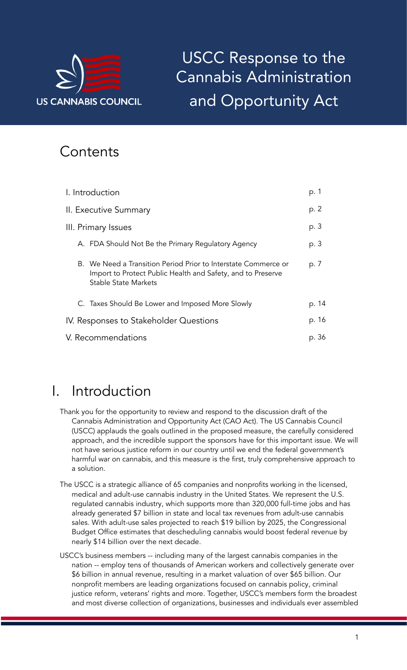

# USCC Response to the Cannabis Administration and Opportunity Act

## **Contents**

| I. Introduction                                                                                                                                       | p. 1  |
|-------------------------------------------------------------------------------------------------------------------------------------------------------|-------|
| II. Executive Summary                                                                                                                                 | p. 2  |
| III. Primary Issues                                                                                                                                   | p. 3  |
| A. FDA Should Not Be the Primary Regulatory Agency                                                                                                    | p. 3  |
| B. We Need a Transition Period Prior to Interstate Commerce or<br>Import to Protect Public Health and Safety, and to Preserve<br>Stable State Markets | p. 7  |
| C. Taxes Should Be Lower and Imposed More Slowly                                                                                                      | p. 14 |
| IV. Responses to Stakeholder Questions                                                                                                                | p. 16 |
| V. Recommendations                                                                                                                                    | p. 36 |

## I. Introduction

- Thank you for the opportunity to review and respond to the discussion draft of the Cannabis Administration and Opportunity Act (CAO Act). The US Cannabis Council (USCC) applauds the goals outlined in the proposed measure, the carefully considered approach, and the incredible support the sponsors have for this important issue. We will not have serious justice reform in our country until we end the federal government's harmful war on cannabis, and this measure is the first, truly comprehensive approach to a solution.
- The USCC is a strategic alliance of 65 companies and nonprofits working in the licensed, medical and adult-use cannabis industry in the United States. We represent the U.S. regulated cannabis industry, which supports more than 320,000 full-time jobs and has already generated \$7 billion in state and local tax revenues from adult-use cannabis sales. With adult-use sales projected to reach \$19 billion by 2025, the Congressional Budget Office estimates that descheduling cannabis would boost federal revenue by nearly \$14 billion over the next decade.
- USCC's business members -- including many of the largest cannabis companies in the nation -- employ tens of thousands of American workers and collectively generate over \$6 billion in annual revenue, resulting in a market valuation of over \$65 billion. Our nonprofit members are leading organizations focused on cannabis policy, criminal justice reform, veterans' rights and more. Together, USCC's members form the broadest and most diverse collection of organizations, businesses and individuals ever assembled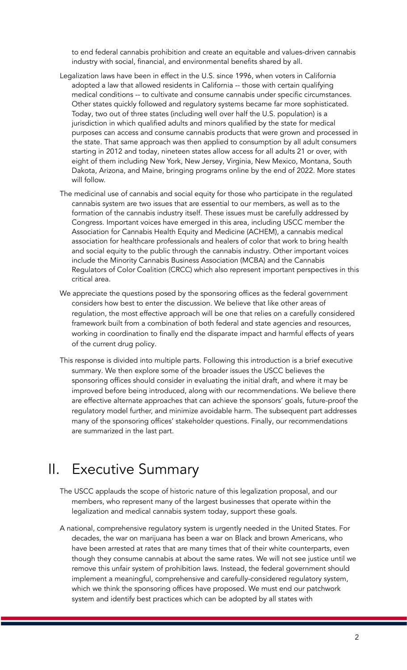to end federal cannabis prohibition and create an equitable and values-driven cannabis industry with social, financial, and environmental benefits shared by all.

- Legalization laws have been in effect in the U.S. since 1996, when voters in California adopted a law that allowed residents in California -- those with certain qualifying medical conditions -- to cultivate and consume cannabis under specific circumstances. Other states quickly followed and regulatory systems became far more sophisticated. Today, two out of three states (including well over half the U.S. population) is a jurisdiction in which qualified adults and minors qualified by the state for medical purposes can access and consume cannabis products that were grown and processed in the state. That same approach was then applied to consumption by all adult consumers starting in 2012 and today, nineteen states allow access for all adults 21 or over, with eight of them including New York, New Jersey, Virginia, New Mexico, Montana, South Dakota, Arizona, and Maine, bringing programs online by the end of 2022. More states will follow.
- The medicinal use of cannabis and social equity for those who participate in the regulated cannabis system are two issues that are essential to our members, as well as to the formation of the cannabis industry itself. These issues must be carefully addressed by Congress. Important voices have emerged in this area, including USCC member the Association for Cannabis Health Equity and Medicine (ACHEM), a cannabis medical association for healthcare professionals and healers of color that work to bring health and social equity to the public through the cannabis industry. Other important voices include the Minority Cannabis Business Association (MCBA) and the Cannabis Regulators of Color Coalition (CRCC) which also represent important perspectives in this critical area.
- We appreciate the questions posed by the sponsoring offices as the federal government considers how best to enter the discussion. We believe that like other areas of regulation, the most effective approach will be one that relies on a carefully considered framework built from a combination of both federal and state agencies and resources, working in coordination to finally end the disparate impact and harmful effects of years of the current drug policy.
- This response is divided into multiple parts. Following this introduction is a brief executive summary. We then explore some of the broader issues the USCC believes the sponsoring offices should consider in evaluating the initial draft, and where it may be improved before being introduced, along with our recommendations. We believe there are effective alternate approaches that can achieve the sponsors' goals, future-proof the regulatory model further, and minimize avoidable harm. The subsequent part addresses many of the sponsoring offices' stakeholder questions. Finally, our recommendations are summarized in the last part.

## II. Executive Summary

- The USCC applauds the scope of historic nature of this legalization proposal, and our members, who represent many of the largest businesses that operate within the legalization and medical cannabis system today, support these goals.
- A national, comprehensive regulatory system is urgently needed in the United States. For decades, the war on marijuana has been a war on Black and brown Americans, who have been arrested at rates that are many times that of their white counterparts, even though they consume cannabis at about the same rates. We will not see justice until we remove this unfair system of prohibition laws. Instead, the federal government should implement a meaningful, comprehensive and carefully-considered regulatory system, which we think the sponsoring offices have proposed. We must end our patchwork system and identify best practices which can be adopted by all states with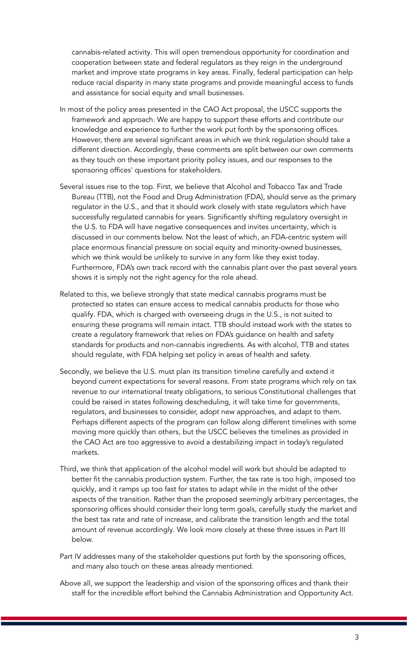cannabis-related activity. This will open tremendous opportunity for coordination and cooperation between state and federal regulators as they reign in the underground market and improve state programs in key areas. Finally, federal participation can help reduce racial disparity in many state programs and provide meaningful access to funds and assistance for social equity and small businesses.

- In most of the policy areas presented in the CAO Act proposal, the USCC supports the framework and approach. We are happy to support these efforts and contribute our knowledge and experience to further the work put forth by the sponsoring offices. However, there are several significant areas in which we think regulation should take a different direction. Accordingly, these comments are split between our own comments as they touch on these important priority policy issues, and our responses to the sponsoring offices' questions for stakeholders.
- Several issues rise to the top. First, we believe that Alcohol and Tobacco Tax and Trade Bureau (TTB), not the Food and Drug Administration (FDA), should serve as the primary regulator in the U.S., and that it should work closely with state regulators which have successfully regulated cannabis for years. Significantly shifting regulatory oversight in the U.S. to FDA will have negative consequences and invites uncertainty, which is discussed in our comments below. Not the least of which, an FDA-centric system will place enormous financial pressure on social equity and minority-owned businesses, which we think would be unlikely to survive in any form like they exist today. Furthermore, FDA's own track record with the cannabis plant over the past several years shows it is simply not the right agency for the role ahead.
- Related to this, we believe strongly that state medical cannabis programs must be protected so states can ensure access to medical cannabis products for those who qualify. FDA, which is charged with overseeing drugs in the U.S., is not suited to ensuring these programs will remain intact. TTB should instead work with the states to create a regulatory framework that relies on FDA's guidance on health and safety standards for products and non-cannabis ingredients. As with alcohol, TTB and states should regulate, with FDA helping set policy in areas of health and safety.
- Secondly, we believe the U.S. must plan its transition timeline carefully and extend it beyond current expectations for several reasons. From state programs which rely on tax revenue to our international treaty obligations, to serious Constitutional challenges that could be raised in states following descheduling, it will take time for governments, regulators, and businesses to consider, adopt new approaches, and adapt to them. Perhaps different aspects of the program can follow along different timelines with some moving more quickly than others, but the USCC believes the timelines as provided in the CAO Act are too aggressive to avoid a destabilizing impact in today's regulated markets.
- Third, we think that application of the alcohol model will work but should be adapted to better fit the cannabis production system. Further, the tax rate is too high, imposed too quickly, and it ramps up too fast for states to adapt while in the midst of the other aspects of the transition. Rather than the proposed seemingly arbitrary percentages, the sponsoring offices should consider their long term goals, carefully study the market and the best tax rate and rate of increase, and calibrate the transition length and the total amount of revenue accordingly. We look more closely at these three issues in Part III below.
- Part IV addresses many of the stakeholder questions put forth by the sponsoring offices, and many also touch on these areas already mentioned.
- Above all, we support the leadership and vision of the sponsoring offices and thank their staff for the incredible effort behind the Cannabis Administration and Opportunity Act.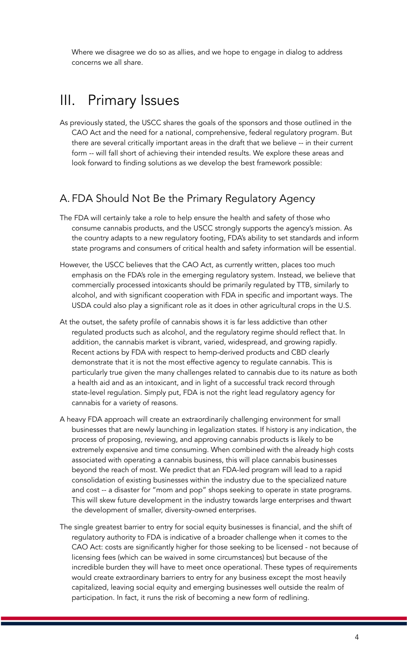Where we disagree we do so as allies, and we hope to engage in dialog to address concerns we all share.

## III. Primary Issues

As previously stated, the USCC shares the goals of the sponsors and those outlined in the CAO Act and the need for a national, comprehensive, federal regulatory program. But there are several critically important areas in the draft that we believe -- in their current form -- will fall short of achieving their intended results. We explore these areas and look forward to finding solutions as we develop the best framework possible:

### A. FDA Should Not Be the Primary Regulatory Agency

- The FDA will certainly take a role to help ensure the health and safety of those who consume cannabis products, and the USCC strongly supports the agency's mission. As the country adapts to a new regulatory footing, FDA's ability to set standards and inform state programs and consumers of critical health and safety information will be essential.
- However, the USCC believes that the CAO Act, as currently written, places too much emphasis on the FDA's role in the emerging regulatory system. Instead, we believe that commercially processed intoxicants should be primarily regulated by TTB, similarly to alcohol, and with significant cooperation with FDA in specific and important ways. The USDA could also play a significant role as it does in other agricultural crops in the U.S.
- At the outset, the safety profile of cannabis shows it is far less addictive than other regulated products such as alcohol, and the regulatory regime should reflect that. In addition, the cannabis market is vibrant, varied, widespread, and growing rapidly. Recent actions by FDA with respect to hemp-derived products and CBD clearly demonstrate that it is not the most effective agency to regulate cannabis. This is particularly true given the many challenges related to cannabis due to its nature as both a health aid and as an intoxicant, and in light of a successful track record through state-level regulation. Simply put, FDA is not the right lead regulatory agency for cannabis for a variety of reasons.
- A heavy FDA approach will create an extraordinarily challenging environment for small businesses that are newly launching in legalization states. If history is any indication, the process of proposing, reviewing, and approving cannabis products is likely to be extremely expensive and time consuming. When combined with the already high costs associated with operating a cannabis business, this will place cannabis businesses beyond the reach of most. We predict that an FDA-led program will lead to a rapid consolidation of existing businesses within the industry due to the specialized nature and cost -- a disaster for "mom and pop" shops seeking to operate in state programs. This will skew future development in the industry towards large enterprises and thwart the development of smaller, diversity-owned enterprises.
- The single greatest barrier to entry for social equity businesses is financial, and the shift of regulatory authority to FDA is indicative of a broader challenge when it comes to the CAO Act: costs are significantly higher for those seeking to be licensed - not because of licensing fees (which can be waived in some circumstances) but because of the incredible burden they will have to meet once operational. These types of requirements would create extraordinary barriers to entry for any business except the most heavily capitalized, leaving social equity and emerging businesses well outside the realm of participation. In fact, it runs the risk of becoming a new form of redlining.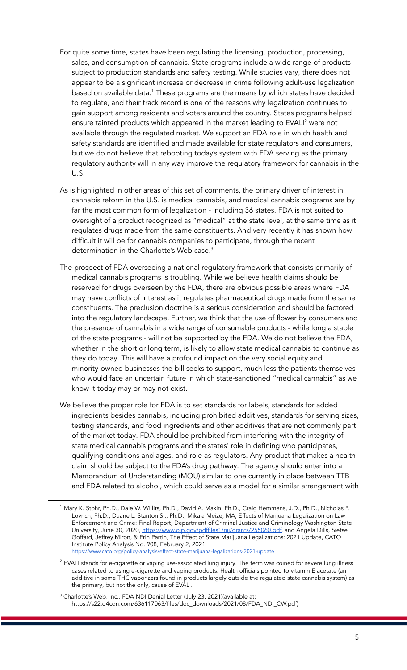- For quite some time, states have been regulating the licensing, production, processing, sales, and consumption of cannabis. State programs include a wide range of products subject to production standards and safety testing. While studies vary, there does not appear to be a significant increase or decrease in crime following adult-use legalization based on available data.<sup>1</sup> These programs are the means by which states have decided to regulate, and their track record is one of the reasons why legalization continues to gain support among residents and voters around the country. States programs helped ensure tainted products which appeared in the market leading to EVALI <sup>2</sup> were not available through the regulated market. We support an FDA role in which health and safety standards are identified and made available for state regulators and consumers, but we do not believe that rebooting today's system with FDA serving as the primary regulatory authority will in any way improve the regulatory framework for cannabis in the U.S.
- As is highlighted in other areas of this set of comments, the primary driver of interest in cannabis reform in the U.S. is medical cannabis, and medical cannabis programs are by far the most common form of legalization - including 36 states. FDA is not suited to oversight of a product recognized as "medical" at the state level, at the same time as it regulates drugs made from the same constituents. And very recently it has shown how difficult it will be for cannabis companies to participate, through the recent determination in the Charlotte's Web case. 3
- The prospect of FDA overseeing a national regulatory framework that consists primarily of medical cannabis programs is troubling. While we believe health claims should be reserved for drugs overseen by the FDA, there are obvious possible areas where FDA may have conflicts of interest as it regulates pharmaceutical drugs made from the same constituents. The preclusion doctrine is a serious consideration and should be factored into the regulatory landscape. Further, we think that the use of flower by consumers and the presence of cannabis in a wide range of consumable products - while long a staple of the state programs - will not be supported by the FDA. We do not believe the FDA, whether in the short or long term, is likely to allow state medical cannabis to continue as they do today. This will have a profound impact on the very social equity and minority-owned businesses the bill seeks to support, much less the patients themselves who would face an uncertain future in which state-sanctioned "medical cannabis" as we know it today may or may not exist.
- We believe the proper role for FDA is to set standards for labels, standards for added ingredients besides cannabis, including prohibited additives, standards for serving sizes, testing standards, and food ingredients and other additives that are not commonly part of the market today. FDA should be prohibited from interfering with the integrity of state medical cannabis programs and the states' role in defining who participates, qualifying conditions and ages, and role as regulators. Any product that makes a health claim should be subject to the FDA's drug pathway. The agency should enter into a Memorandum of Understanding (MOU) similar to one currently in place between TTB and FDA related to alcohol, which could serve as a model for a similar arrangement with

<sup>&</sup>lt;sup>1</sup> Mary K. Stohr, Ph.D., Dale W. Willits, Ph.D., David A. Makin, Ph.D., Craig Hemmens, J.D., Ph.D., Nicholas P. Lovrich, Ph.D., Duane L. Stanton Sr., Ph.D., Mikala Meize, MA, Effects of Marijuana Legalization on Law Enforcement and Crime: Final Report, Department of Criminal Justice and Criminology Washington State University, June 30, 2020, <https://www.ojp.gov/pdffiles1/nij/grants/255060.pdf>, and Angela Dills, Sietse Goffard, Jeffrey Miron, & Erin Partin, The Effect of State Marijuana Legalizations: 2021 Update, CATO Institute Policy Analysis No. 908, February 2, 2021 <https://www.cato.org/policy-analysis/effect-state-marijuana-legalizations-2021-update>

 $<sup>2</sup>$  EVALI stands for e-cigarette or vaping use-associated lung injury. The term was coined for severe lung illness</sup> cases related to using e-cigarette and vaping products. Health officials pointed to vitamin E acetate (an additive in some THC vaporizers found in products largely outside the regulated state cannabis system) as the primary, but not the only, cause of EVALI.

<sup>&</sup>lt;sup>3</sup> Charlotte's Web, Inc., FDA NDI Denial Letter (July 23, 2021)(available at: https://s22.q4cdn.com/636117063/files/doc\_downloads/2021/08/FDA\_NDI\_CW.pdf)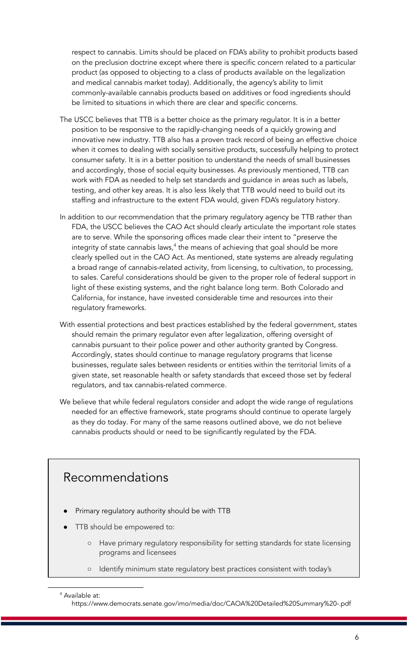respect to cannabis. Limits should be placed on FDA's ability to prohibit products based on the preclusion doctrine except where there is specific concern related to a particular product (as opposed to objecting to a class of products available on the legalization and medical cannabis market today). Additionally, the agency's ability to limit commonly-available cannabis products based on additives or food ingredients should be limited to situations in which there are clear and specific concerns.

- The USCC believes that TTB is a better choice as the primary regulator. It is in a better position to be responsive to the rapidly-changing needs of a quickly growing and innovative new industry. TTB also has a proven track record of being an effective choice when it comes to dealing with socially sensitive products, successfully helping to protect consumer safety. It is in a better position to understand the needs of small businesses and accordingly, those of social equity businesses. As previously mentioned, TTB can work with FDA as needed to help set standards and guidance in areas such as labels, testing, and other key areas. It is also less likely that TTB would need to build out its staffing and infrastructure to the extent FDA would, given FDA's regulatory history.
- In addition to our recommendation that the primary regulatory agency be TTB rather than FDA, the USCC believes the CAO Act should clearly articulate the important role states are to serve. While the sponsoring offices made clear their intent to "preserve the integrity of state cannabis laws,<sup>4</sup> the means of achieving that goal should be more clearly spelled out in the CAO Act. As mentioned, state systems are already regulating a broad range of cannabis-related activity, from licensing, to cultivation, to processing, to sales. Careful considerations should be given to the proper role of federal support in light of these existing systems, and the right balance long term. Both Colorado and California, for instance, have invested considerable time and resources into their regulatory frameworks.
- With essential protections and best practices established by the federal government, states should remain the primary regulator even after legalization, offering oversight of cannabis pursuant to their police power and other authority granted by Congress. Accordingly, states should continue to manage regulatory programs that license businesses, regulate sales between residents or entities within the territorial limits of a given state, set reasonable health or safety standards that exceed those set by federal regulators, and tax cannabis-related commerce.
- We believe that while federal regulators consider and adopt the wide range of regulations needed for an effective framework, state programs should continue to operate largely as they do today. For many of the same reasons outlined above, we do not believe cannabis products should or need to be significantly regulated by the FDA.

### Recommendations

- Primary regulatory authority should be with TTB
- TTB should be empowered to:
	- Have primary regulatory responsibility for setting standards for state licensing programs and licensees
	- Identify minimum state regulatory best practices consistent with today's

<sup>4</sup> Available at:

https://www.democrats.senate.gov/imo/media/doc/CAOA%20Detailed%20Summary%20-.pdf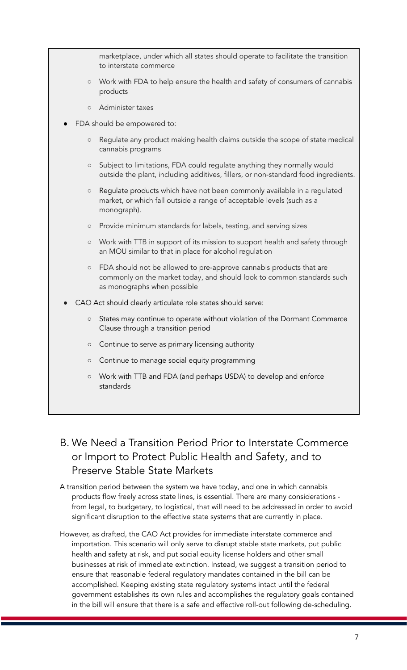marketplace, under which all states should operate to facilitate the transition to interstate commerce ○ Work with FDA to help ensure the health and safety of consumers of cannabis products ○ Administer taxes FDA should be empowered to: ○ Regulate any product making health claims outside the scope of state medical cannabis programs ○ Subject to limitations, FDA could regulate anything they normally would outside the plant, including additives, fillers, or non-standard food ingredients. ○ Regulate products which have not been commonly available in a regulated market, or which fall outside a range of acceptable levels (such as a monograph). ○ Provide minimum standards for labels, testing, and serving sizes ○ Work with TTB in support of its mission to support health and safety through an MOU similar to that in place for alcohol regulation ○ FDA should not be allowed to pre-approve cannabis products that are commonly on the market today, and should look to common standards such as monographs when possible CAO Act should clearly articulate role states should serve: ○ States may continue to operate without violation of the Dormant Commerce Clause through a transition period ○ Continue to serve as primary licensing authority ○ Continue to manage social equity programming ○ Work with TTB and FDA (and perhaps USDA) to develop and enforce standards

### B. We Need a Transition Period Prior to Interstate Commerce or Import to Protect Public Health and Safety, and to Preserve Stable State Markets

- A transition period between the system we have today, and one in which cannabis products flow freely across state lines, is essential. There are many considerations from legal, to budgetary, to logistical, that will need to be addressed in order to avoid significant disruption to the effective state systems that are currently in place.
- However, as drafted, the CAO Act provides for immediate interstate commerce and importation. This scenario will only serve to disrupt stable state markets, put public health and safety at risk, and put social equity license holders and other small businesses at risk of immediate extinction. Instead, we suggest a transition period to ensure that reasonable federal regulatory mandates contained in the bill can be accomplished. Keeping existing state regulatory systems intact until the federal government establishes its own rules and accomplishes the regulatory goals contained in the bill will ensure that there is a safe and effective roll-out following de-scheduling.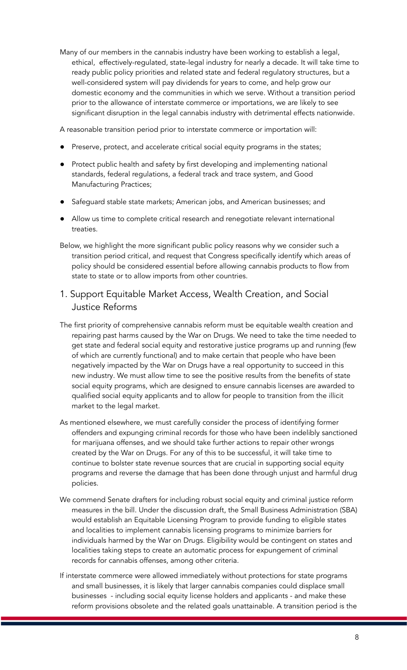Many of our members in the cannabis industry have been working to establish a legal, ethical, effectively-regulated, state-legal industry for nearly a decade. It will take time to ready public policy priorities and related state and federal regulatory structures, but a well-considered system will pay dividends for years to come, and help grow our domestic economy and the communities in which we serve. Without a transition period prior to the allowance of interstate commerce or importations, we are likely to see significant disruption in the legal cannabis industry with detrimental effects nationwide.

A reasonable transition period prior to interstate commerce or importation will:

- Preserve, protect, and accelerate critical social equity programs in the states;
- Protect public health and safety by first developing and implementing national standards, federal regulations, a federal track and trace system, and Good Manufacturing Practices;
- Safeguard stable state markets; American jobs, and American businesses; and
- Allow us time to complete critical research and renegotiate relevant international treaties.
- Below, we highlight the more significant public policy reasons why we consider such a transition period critical, and request that Congress specifically identify which areas of policy should be considered essential before allowing cannabis products to flow from state to state or to allow imports from other countries.
- 1. Support Equitable Market Access, Wealth Creation, and Social Justice Reforms
- The first priority of comprehensive cannabis reform must be equitable wealth creation and repairing past harms caused by the War on Drugs. We need to take the time needed to get state and federal social equity and restorative justice programs up and running (few of which are currently functional) and to make certain that people who have been negatively impacted by the War on Drugs have a real opportunity to succeed in this new industry. We must allow time to see the positive results from the benefits of state social equity programs, which are designed to ensure cannabis licenses are awarded to qualified social equity applicants and to allow for people to transition from the illicit market to the legal market.
- As mentioned elsewhere, we must carefully consider the process of identifying former offenders and expunging criminal records for those who have been indelibly sanctioned for marijuana offenses, and we should take further actions to repair other wrongs created by the War on Drugs. For any of this to be successful, it will take time to continue to bolster state revenue sources that are crucial in supporting social equity programs and reverse the damage that has been done through unjust and harmful drug policies.
- We commend Senate drafters for including robust social equity and criminal justice reform measures in the bill. Under the discussion draft, the Small Business Administration (SBA) would establish an Equitable Licensing Program to provide funding to eligible states and localities to implement cannabis licensing programs to minimize barriers for individuals harmed by the War on Drugs. Eligibility would be contingent on states and localities taking steps to create an automatic process for expungement of criminal records for cannabis offenses, among other criteria.
- If interstate commerce were allowed immediately without protections for state programs and small businesses, it is likely that larger cannabis companies could displace small businesses - including social equity license holders and applicants - and make these reform provisions obsolete and the related goals unattainable. A transition period is the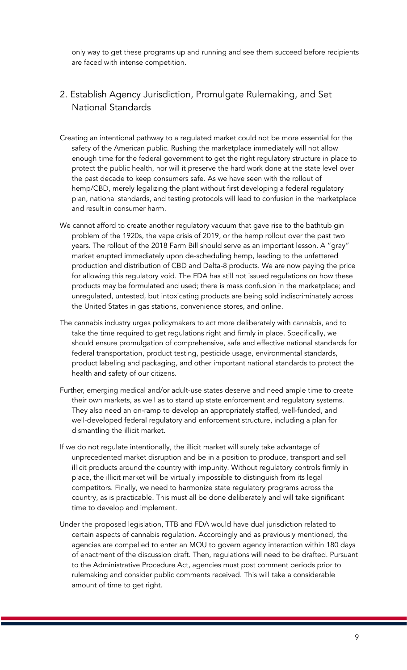only way to get these programs up and running and see them succeed before recipients are faced with intense competition.

### 2. Establish Agency Jurisdiction, Promulgate Rulemaking, and Set National Standards

- Creating an intentional pathway to a regulated market could not be more essential for the safety of the American public. Rushing the marketplace immediately will not allow enough time for the federal government to get the right regulatory structure in place to protect the public health, nor will it preserve the hard work done at the state level over the past decade to keep consumers safe. As we have seen with the rollout of hemp/CBD, merely legalizing the plant without first developing a federal regulatory plan, national standards, and testing protocols will lead to confusion in the marketplace and result in consumer harm.
- We cannot afford to create another regulatory vacuum that gave rise to the bathtub gin problem of the 1920s, the vape crisis of 2019, or the hemp rollout over the past two years. The rollout of the 2018 Farm Bill should serve as an important lesson. A "gray" market erupted immediately upon de-scheduling hemp, leading to the unfettered production and distribution of CBD and Delta-8 products. We are now paying the price for allowing this regulatory void. The FDA has still not issued regulations on how these products may be formulated and used; there is mass confusion in the marketplace; and unregulated, untested, but intoxicating products are being sold indiscriminately across the United States in gas stations, convenience stores, and online.
- The cannabis industry urges policymakers to act more deliberately with cannabis, and to take the time required to get regulations right and firmly in place. Specifically, we should ensure promulgation of comprehensive, safe and effective national standards for federal transportation, product testing, pesticide usage, environmental standards, product labeling and packaging, and other important national standards to protect the health and safety of our citizens.
- Further, emerging medical and/or adult-use states deserve and need ample time to create their own markets, as well as to stand up state enforcement and regulatory systems. They also need an on-ramp to develop an appropriately staffed, well-funded, and well-developed federal regulatory and enforcement structure, including a plan for dismantling the illicit market.
- If we do not regulate intentionally, the illicit market will surely take advantage of unprecedented market disruption and be in a position to produce, transport and sell illicit products around the country with impunity. Without regulatory controls firmly in place, the illicit market will be virtually impossible to distinguish from its legal competitors. Finally, we need to harmonize state regulatory programs across the country, as is practicable. This must all be done deliberately and will take significant time to develop and implement.
- Under the proposed legislation, TTB and FDA would have dual jurisdiction related to certain aspects of cannabis regulation. Accordingly and as previously mentioned, the agencies are compelled to enter an MOU to govern agency interaction within 180 days of enactment of the discussion draft. Then, regulations will need to be drafted. Pursuant to the Administrative Procedure Act, agencies must post comment periods prior to rulemaking and consider public comments received. This will take a considerable amount of time to get right.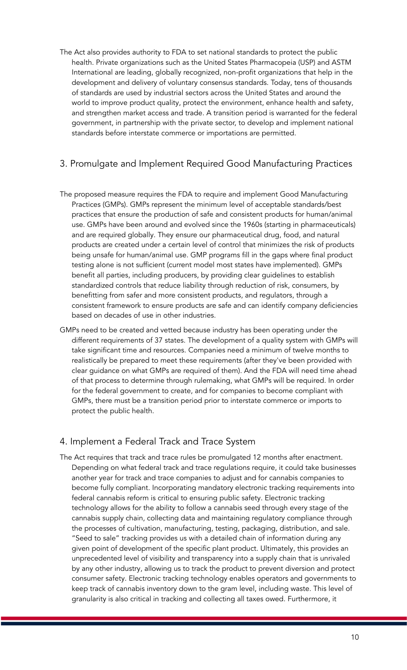The Act also provides authority to FDA to set national standards to protect the public health. Private organizations such as the United States Pharmacopeia (USP) and ASTM International are leading, globally recognized, non-profit organizations that help in the development and delivery of voluntary consensus standards. Today, tens of thousands of standards are used by industrial sectors across the United States and around the world to improve product quality, protect the environment, enhance health and safety, and strengthen market access and trade. A transition period is warranted for the federal government, in partnership with the private sector, to develop and implement national standards before interstate commerce or importations are permitted.

### 3. Promulgate and Implement Required Good Manufacturing Practices

- The proposed measure requires the FDA to require and implement Good Manufacturing Practices (GMPs). GMPs represent the minimum level of acceptable standards/best practices that ensure the production of safe and consistent products for human/animal use. GMPs have been around and evolved since the 1960s (starting in pharmaceuticals) and are required globally. They ensure our pharmaceutical drug, food, and natural products are created under a certain level of control that minimizes the risk of products being unsafe for human/animal use. GMP programs fill in the gaps where final product testing alone is not sufficient (current model most states have implemented). GMPs benefit all parties, including producers, by providing clear guidelines to establish standardized controls that reduce liability through reduction of risk, consumers, by benefitting from safer and more consistent products, and regulators, through a consistent framework to ensure products are safe and can identify company deficiencies based on decades of use in other industries.
- GMPs need to be created and vetted because industry has been operating under the different requirements of 37 states. The development of a quality system with GMPs will take significant time and resources. Companies need a minimum of twelve months to realistically be prepared to meet these requirements (after they've been provided with clear guidance on what GMPs are required of them). And the FDA will need time ahead of that process to determine through rulemaking, what GMPs will be required. In order for the federal government to create, and for companies to become compliant with GMPs, there must be a transition period prior to interstate commerce or imports to protect the public health.

### 4. Implement a Federal Track and Trace System

The Act requires that track and trace rules be promulgated 12 months after enactment. Depending on what federal track and trace regulations require, it could take businesses another year for track and trace companies to adjust and for cannabis companies to become fully compliant. Incorporating mandatory electronic tracking requirements into federal cannabis reform is critical to ensuring public safety. Electronic tracking technology allows for the ability to follow a cannabis seed through every stage of the cannabis supply chain, collecting data and maintaining regulatory compliance through the processes of cultivation, manufacturing, testing, packaging, distribution, and sale. "Seed to sale" tracking provides us with a detailed chain of information during any given point of development of the specific plant product. Ultimately, this provides an unprecedented level of visibility and transparency into a supply chain that is unrivaled by any other industry, allowing us to track the product to prevent diversion and protect consumer safety. Electronic tracking technology enables operators and governments to keep track of cannabis inventory down to the gram level, including waste. This level of granularity is also critical in tracking and collecting all taxes owed. Furthermore, it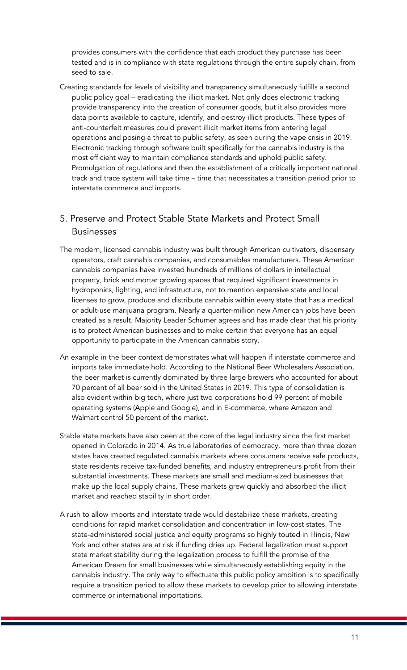provides consumers with the confidence that each product they purchase has been tested and is in compliance with state regulations through the entire supply chain, from seed to sale.

Creating standards for levels of visibility and transparency simultaneously fulfills a second public policy goal – eradicating the illicit market. Not only does electronic tracking provide transparency into the creation of consumer goods, but it also provides more data points available to capture, identify, and destroy illicit products. These types of anti-counterfeit measures could prevent illicit market items from entering legal operations and posing a threat to public safety, as seen during the vape crisis in 2019. Electronic tracking through software built specifically for the cannabis industry is the most efficient way to maintain compliance standards and uphold public safety. Promulgation of regulations and then the establishment of a critically important national track and trace system will take time – time that necessitates a transition period prior to interstate commerce and imports.

### 5. Preserve and Protect Stable State Markets and Protect Small **Businesses**

- The modern, licensed cannabis industry was built through American cultivators, dispensary operators, craft cannabis companies, and consumables manufacturers. These American cannabis companies have invested hundreds of millions of dollars in intellectual property, brick and mortar growing spaces that required significant investments in hydroponics, lighting, and infrastructure, not to mention expensive state and local licenses to grow, produce and distribute cannabis within every state that has a medical or adult-use marijuana program. Nearly a quarter-million new American jobs have been created as a result. Majority Leader Schumer agrees and has made clear that his priority is to protect American businesses and to make certain that everyone has an equal opportunity to participate in the American cannabis story.
- An example in the beer context demonstrates what will happen if interstate commerce and imports take immediate hold. According to the National Beer Wholesalers Association, the beer market is currently dominated by three large brewers who accounted for about 70 percent of all beer sold in the United States in 2019. This type of consolidation is also evident within big tech, where just two corporations hold 99 percent of mobile operating systems (Apple and Google), and in E-commerce, where Amazon and Walmart control 50 percent of the market.
- Stable state markets have also been at the core of the legal industry since the first market opened in Colorado in 2014. As true laboratories of democracy, more than three dozen states have created regulated cannabis markets where consumers receive safe products, state residents receive tax-funded benefits, and industry entrepreneurs profit from their substantial investments. These markets are small and medium-sized businesses that make up the local supply chains. These markets grew quickly and absorbed the illicit market and reached stability in short order.
- A rush to allow imports and interstate trade would destabilize these markets, creating conditions for rapid market consolidation and concentration in low-cost states. The state-administered social justice and equity programs so highly touted in Illinois, New York and other states are at risk if funding dries up. Federal legalization must support state market stability during the legalization process to fulfill the promise of the American Dream for small businesses while simultaneously establishing equity in the cannabis industry. The only way to effectuate this public policy ambition is to specifically require a transition period to allow these markets to develop prior to allowing interstate commerce or international importations.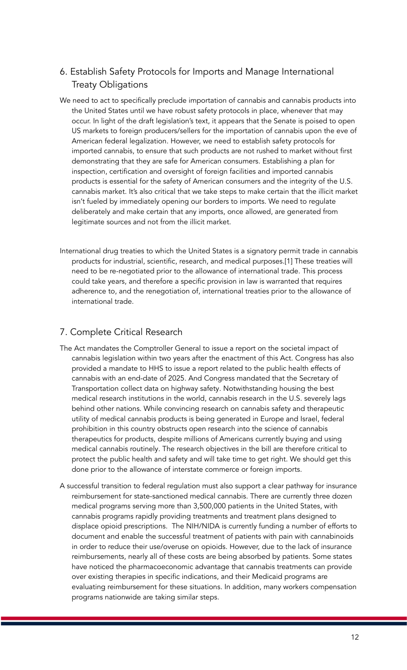### 6. Establish Safety Protocols for Imports and Manage International Treaty Obligations

- We need to act to specifically preclude importation of cannabis and cannabis products into the United States until we have robust safety protocols in place, whenever that may occur. In light of the draft legislation's text, it appears that the Senate is poised to open US markets to foreign producers/sellers for the importation of cannabis upon the eve of American federal legalization. However, we need to establish safety protocols for imported cannabis, to ensure that such products are not rushed to market without first demonstrating that they are safe for American consumers. Establishing a plan for inspection, certification and oversight of foreign facilities and imported cannabis products is essential for the safety of American consumers and the integrity of the U.S. cannabis market. It's also critical that we take steps to make certain that the illicit market isn't fueled by immediately opening our borders to imports. We need to regulate deliberately and make certain that any imports, once allowed, are generated from legitimate sources and not from the illicit market.
- International drug treaties to which the United States is a signatory permit trade in cannabis products for industrial, scientific, research, and medical purposes.[1] These treaties will need to be re-negotiated prior to the allowance of international trade. This process could take years, and therefore a specific provision in law is warranted that requires adherence to, and the renegotiation of, international treaties prior to the allowance of international trade.

### 7. Complete Critical Research

- The Act mandates the Comptroller General to issue a report on the societal impact of cannabis legislation within two years after the enactment of this Act. Congress has also provided a mandate to HHS to issue a report related to the public health effects of cannabis with an end-date of 2025. And Congress mandated that the Secretary of Transportation collect data on highway safety. Notwithstanding housing the best medical research institutions in the world, cannabis research in the U.S. severely lags behind other nations. While convincing research on cannabis safety and therapeutic utility of medical cannabis products is being generated in Europe and Israel, federal prohibition in this country obstructs open research into the science of cannabis therapeutics for products, despite millions of Americans currently buying and using medical cannabis routinely. The research objectives in the bill are therefore critical to protect the public health and safety and will take time to get right. We should get this done prior to the allowance of interstate commerce or foreign imports.
- A successful transition to federal regulation must also support a clear pathway for insurance reimbursement for state-sanctioned medical cannabis. There are currently three dozen medical programs serving more than 3,500,000 patients in the United States, with cannabis programs rapidly providing treatments and treatment plans designed to displace opioid prescriptions. The NIH/NIDA is currently funding a number of efforts to document and enable the successful treatment of patients with pain with cannabinoids in order to reduce their use/overuse on opioids. However, due to the lack of insurance reimbursements, nearly all of these costs are being absorbed by patients. Some states have noticed the pharmacoeconomic advantage that cannabis treatments can provide over existing therapies in specific indications, and their Medicaid programs are evaluating reimbursement for these situations. In addition, many workers compensation programs nationwide are taking similar steps.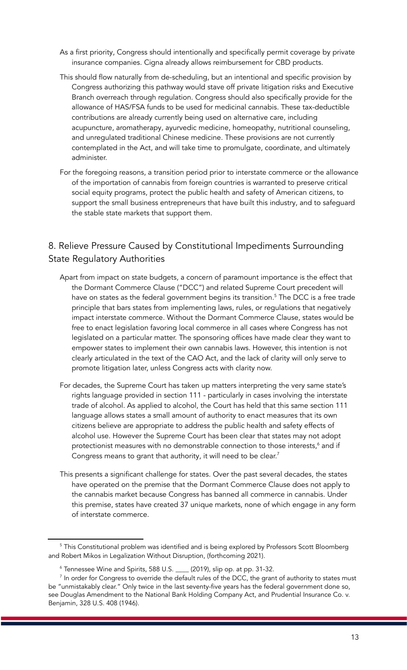- As a first priority, Congress should intentionally and specifically permit coverage by private insurance companies. Cigna already allows reimbursement for CBD products.
- This should flow naturally from de-scheduling, but an intentional and specific provision by Congress authorizing this pathway would stave off private litigation risks and Executive Branch overreach through regulation. Congress should also specifically provide for the allowance of HAS/FSA funds to be used for medicinal cannabis. These tax-deductible contributions are already currently being used on alternative care, including acupuncture, aromatherapy, ayurvedic medicine, homeopathy, nutritional counseling, and unregulated traditional Chinese medicine. These provisions are not currently contemplated in the Act, and will take time to promulgate, coordinate, and ultimately administer.
- For the foregoing reasons, a transition period prior to interstate commerce or the allowance of the importation of cannabis from foreign countries is warranted to preserve critical social equity programs, protect the public health and safety of American citizens, to support the small business entrepreneurs that have built this industry, and to safeguard the stable state markets that support them.

### 8. Relieve Pressure Caused by Constitutional Impediments Surrounding State Regulatory Authorities

- Apart from impact on state budgets, a concern of paramount importance is the effect that the Dormant Commerce Clause ("DCC") and related Supreme Court precedent will have on states as the federal government begins its transition. <sup>5</sup> The DCC is a free trade principle that bars states from implementing laws, rules, or regulations that negatively impact interstate commerce. Without the Dormant Commerce Clause, states would be free to enact legislation favoring local commerce in all cases where Congress has not legislated on a particular matter. The sponsoring offices have made clear they want to empower states to implement their own cannabis laws. However, this intention is not clearly articulated in the text of the CAO Act, and the lack of clarity will only serve to promote litigation later, unless Congress acts with clarity now.
- For decades, the Supreme Court has taken up matters interpreting the very same state's rights language provided in section 111 - particularly in cases involving the interstate trade of alcohol. As applied to alcohol, the Court has held that this same section 111 language allows states a small amount of authority to enact measures that its own citizens believe are appropriate to address the public health and safety effects of alcohol use. However the Supreme Court has been clear that states may not adopt protectionist measures with no demonstrable connection to those interests, <sup>6</sup> and if Congress means to grant that authority, it will need to be clear. $^7$
- This presents a significant challenge for states. Over the past several decades, the states have operated on the premise that the Dormant Commerce Clause does not apply to the cannabis market because Congress has banned all commerce in cannabis. Under this premise, states have created 37 unique markets, none of which engage in any form of interstate commerce.

<sup>&</sup>lt;sup>5</sup> This Constitutional problem was identified and is being explored by Professors Scott Bloomberg and Robert Mikos in Legalization Without Disruption, (forthcoming 2021).

<sup>6</sup> Tennessee Wine and Spirits, 588 U.S. \_\_\_\_ (2019), slip op. at pp. 31-32.

 $^7$  In order for Congress to override the default rules of the DCC, the grant of authority to states must be "unmistakably clear." Only twice in the last seventy-five years has the federal government done so, see Douglas Amendment to the National Bank Holding Company Act, and Prudential Insurance Co. v. Benjamin, 328 U.S. 408 (1946).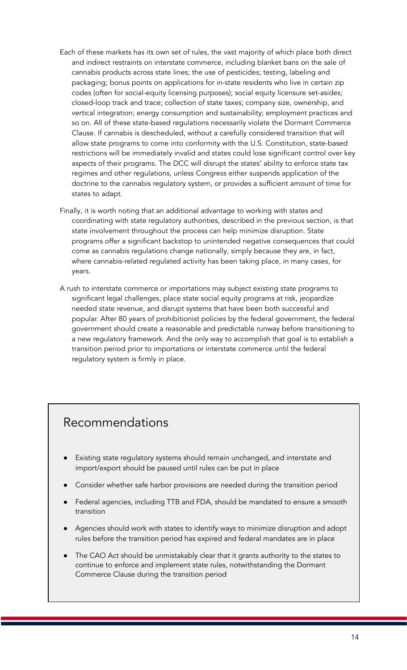- Each of these markets has its own set of rules, the vast majority of which place both direct and indirect restraints on interstate commerce, including blanket bans on the sale of cannabis products across state lines; the use of pesticides; testing, labeling and packaging; bonus points on applications for in-state residents who live in certain zip codes (often for social-equity licensing purposes); social equity licensure set-asides; closed-loop track and trace; collection of state taxes; company size, ownership, and vertical integration; energy consumption and sustainability; employment practices and so on. All of these state-based regulations necessarily violate the Dormant Commerce Clause. If cannabis is descheduled, without a carefully considered transition that will allow state programs to come into conformity with the U.S. Constitution, state-based restrictions will be immediately invalid and states could lose significant control over key aspects of their programs. The DCC will disrupt the states' ability to enforce state tax regimes and other regulations, unless Congress either suspends application of the doctrine to the cannabis regulatory system, or provides a sufficient amount of time for states to adapt.
- Finally, it is worth noting that an additional advantage to working with states and coordinating with state regulatory authorities, described in the previous section, is that state involvement throughout the process can help minimize disruption. State programs offer a significant backstop to unintended negative consequences that could come as cannabis regulations change nationally, simply because they are, in fact, where cannabis-related regulated activity has been taking place, in many cases, for years.
- A rush to interstate commerce or importations may subject existing state programs to significant legal challenges, place state social equity programs at risk, jeopardize needed state revenue, and disrupt systems that have been both successful and popular. After 80 years of prohibitionist policies by the federal government, the federal government should create a reasonable and predictable runway before transitioning to a new regulatory framework. And the only way to accomplish that goal is to establish a transition period prior to importations or interstate commerce until the federal regulatory system is firmly in place.

### Recommendations

- Existing state regulatory systems should remain unchanged, and interstate and import/export should be paused until rules can be put in place
- Consider whether safe harbor provisions are needed during the transition period
- Federal agencies, including TTB and FDA, should be mandated to ensure a smooth transition
- Agencies should work with states to identify ways to minimize disruption and adopt rules before the transition period has expired and federal mandates are in place
- The CAO Act should be unmistakably clear that it grants authority to the states to continue to enforce and implement state rules, notwithstanding the Dormant Commerce Clause during the transition period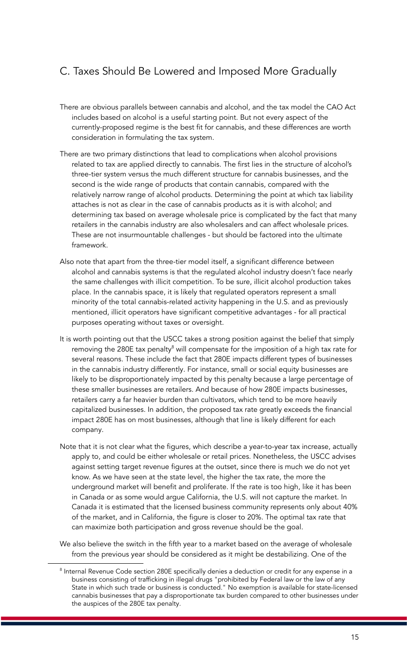### C. Taxes Should Be Lowered and Imposed More Gradually

- There are obvious parallels between cannabis and alcohol, and the tax model the CAO Act includes based on alcohol is a useful starting point. But not every aspect of the currently-proposed regime is the best fit for cannabis, and these differences are worth consideration in formulating the tax system.
- There are two primary distinctions that lead to complications when alcohol provisions related to tax are applied directly to cannabis. The first lies in the structure of alcohol's three-tier system versus the much different structure for cannabis businesses, and the second is the wide range of products that contain cannabis, compared with the relatively narrow range of alcohol products. Determining the point at which tax liability attaches is not as clear in the case of cannabis products as it is with alcohol; and determining tax based on average wholesale price is complicated by the fact that many retailers in the cannabis industry are also wholesalers and can affect wholesale prices. These are not insurmountable challenges - but should be factored into the ultimate framework.
- Also note that apart from the three-tier model itself, a significant difference between alcohol and cannabis systems is that the regulated alcohol industry doesn't face nearly the same challenges with illicit competition. To be sure, illicit alcohol production takes place. In the cannabis space, it is likely that regulated operators represent a small minority of the total cannabis-related activity happening in the U.S. and as previously mentioned, illicit operators have significant competitive advantages - for all practical purposes operating without taxes or oversight.
- It is worth pointing out that the USCC takes a strong position against the belief that simply removing the 280E tax penalty $^{\text{\tiny 8}}$  will compensate for the imposition of a high tax rate for several reasons. These include the fact that 280E impacts different types of businesses in the cannabis industry differently. For instance, small or social equity businesses are likely to be disproportionately impacted by this penalty because a large percentage of these smaller businesses are retailers. And because of how 280E impacts businesses, retailers carry a far heavier burden than cultivators, which tend to be more heavily capitalized businesses. In addition, the proposed tax rate greatly exceeds the financial impact 280E has on most businesses, although that line is likely different for each company.
- Note that it is not clear what the figures, which describe a year-to-year tax increase, actually apply to, and could be either wholesale or retail prices. Nonetheless, the USCC advises against setting target revenue figures at the outset, since there is much we do not yet know. As we have seen at the state level, the higher the tax rate, the more the underground market will benefit and proliferate. If the rate is too high, like it has been in Canada or as some would argue California, the U.S. will not capture the market. In Canada it is estimated that the licensed business community represents only about 40% of the market, and in California, the figure is closer to 20%. The optimal tax rate that can maximize both participation and gross revenue should be the goal.
- We also believe the switch in the fifth year to a market based on the average of wholesale from the previous year should be considered as it might be destabilizing. One of the

<sup>&</sup>lt;sup>8</sup> Internal Revenue Code section 280E specifically denies a deduction or credit for any expense in a business consisting of trafficking in illegal drugs "prohibited by Federal law or the law of any State in which such trade or business is conducted." No exemption is available for state-licensed cannabis businesses that pay a disproportionate tax burden compared to other businesses under the auspices of the 280E tax penalty.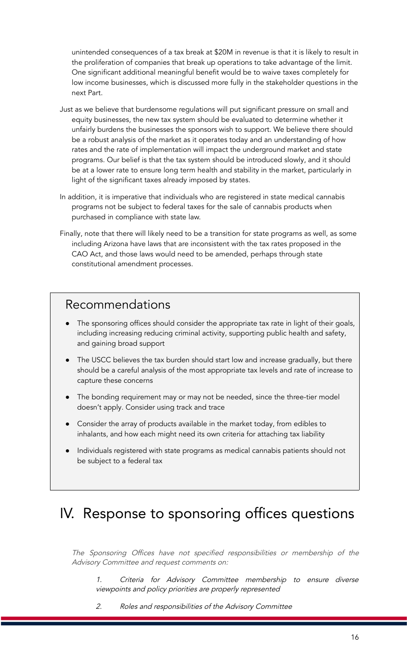unintended consequences of a tax break at \$20M in revenue is that it is likely to result in the proliferation of companies that break up operations to take advantage of the limit. One significant additional meaningful benefit would be to waive taxes completely for low income businesses, which is discussed more fully in the stakeholder questions in the next Part.

- Just as we believe that burdensome regulations will put significant pressure on small and equity businesses, the new tax system should be evaluated to determine whether it unfairly burdens the businesses the sponsors wish to support. We believe there should be a robust analysis of the market as it operates today and an understanding of how rates and the rate of implementation will impact the underground market and state programs. Our belief is that the tax system should be introduced slowly, and it should be at a lower rate to ensure long term health and stability in the market, particularly in light of the significant taxes already imposed by states.
- In addition, it is imperative that individuals who are registered in state medical cannabis programs not be subject to federal taxes for the sale of cannabis products when purchased in compliance with state law.
- Finally, note that there will likely need to be a transition for state programs as well, as some including Arizona have laws that are inconsistent with the tax rates proposed in the CAO Act, and those laws would need to be amended, perhaps through state constitutional amendment processes.

### Recommendations

- The sponsoring offices should consider the appropriate tax rate in light of their goals, including increasing reducing criminal activity, supporting public health and safety, and gaining broad support
- The USCC believes the tax burden should start low and increase gradually, but there should be a careful analysis of the most appropriate tax levels and rate of increase to capture these concerns
- The bonding requirement may or may not be needed, since the three-tier model doesn't apply. Consider using track and trace
- Consider the array of products available in the market today, from edibles to inhalants, and how each might need its own criteria for attaching tax liability
- Individuals registered with state programs as medical cannabis patients should not be subject to a federal tax

## IV. Response to sponsoring offices questions

The Sponsoring Offices have not specified responsibilities or membership of the Advisory Committee and request comments on:

1. Criteria for Advisory Committee membership to ensure diverse viewpoints and policy priorities are properly represented

2. Roles and responsibilities of the Advisory Committee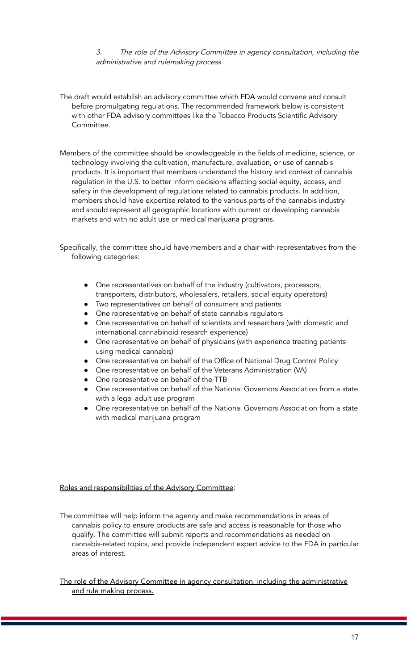3. The role of the Advisory Committee in agency consultation, including the administrative and rulemaking process

- The draft would establish an advisory committee which FDA would convene and consult before promulgating regulations. The recommended framework below is consistent with other FDA advisory committees like the Tobacco Products Scientific Advisory Committee.
- Members of the committee should be knowledgeable in the fields of medicine, science, or technology involving the cultivation, manufacture, evaluation, or use of cannabis products. It is important that members understand the history and context of cannabis regulation in the U.S. to better inform decisions affecting social equity, access, and safety in the development of regulations related to cannabis products. In addition, members should have expertise related to the various parts of the cannabis industry and should represent all geographic locations with current or developing cannabis markets and with no adult use or medical marijuana programs.
- Specifically, the committee should have members and a chair with representatives from the following categories:
	- One representatives on behalf of the industry (cultivators, processors, transporters, distributors, wholesalers, retailers, social equity operators)
	- Two representatives on behalf of consumers and patients
	- One representative on behalf of state cannabis regulators
	- One representative on behalf of scientists and researchers (with domestic and international cannabinoid research experience)
	- One representative on behalf of physicians (with experience treating patients using medical cannabis)
	- One representative on behalf of the Office of National Drug Control Policy
	- One representative on behalf of the Veterans Administration (VA)
	- One representative on behalf of the TTB
	- One representative on behalf of the National Governors Association from a state with a legal adult use program
	- One representative on behalf of the National Governors Association from a state with medical marijuana program

#### Roles and responsibilities of the Advisory Committee:

The committee will help inform the agency and make recommendations in areas of cannabis policy to ensure products are safe and access is reasonable for those who qualify. The committee will submit reports and recommendations as needed on cannabis-related topics, and provide independent expert advice to the FDA in particular areas of interest.

The role of the Advisory Committee in agency consultation, including the administrative and rule making process.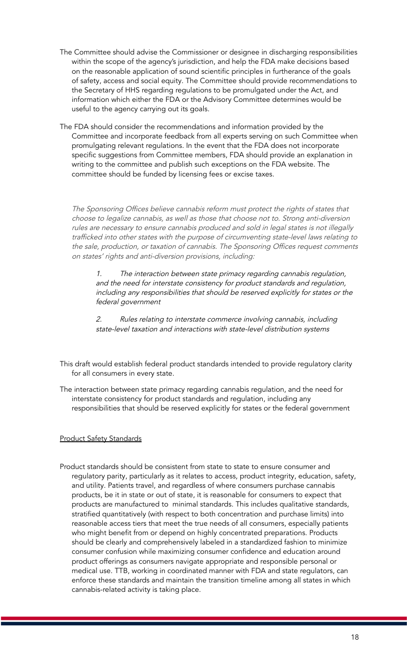- The Committee should advise the Commissioner or designee in discharging responsibilities within the scope of the agency's jurisdiction, and help the FDA make decisions based on the reasonable application of sound scientific principles in furtherance of the goals of safety, access and social equity. The Committee should provide recommendations to the Secretary of HHS regarding regulations to be promulgated under the Act, and information which either the FDA or the Advisory Committee determines would be useful to the agency carrying out its goals.
- The FDA should consider the recommendations and information provided by the Committee and incorporate feedback from all experts serving on such Committee when promulgating relevant regulations. In the event that the FDA does not incorporate specific suggestions from Committee members, FDA should provide an explanation in writing to the committee and publish such exceptions on the FDA website. The committee should be funded by licensing fees or excise taxes.

The Sponsoring Offices believe cannabis reform must protect the rights of states that choose to legalize cannabis, as well as those that choose not to. Strong anti-diversion rules are necessary to ensure cannabis produced and sold in legal states is not illegally trafficked into other states with the purpose of circumventing state-level laws relating to the sale, production, or taxation of cannabis. The Sponsoring Offices request comments on states' rights and anti-diversion provisions, including:

1. The interaction between state primacy regarding cannabis regulation, and the need for interstate consistency for product standards and regulation, including any responsibilities that should be reserved explicitly for states or the federal government

2. Rules relating to interstate commerce involving cannabis, including state-level taxation and interactions with state-level distribution systems

This draft would establish federal product standards intended to provide regulatory clarity for all consumers in every state.

The interaction between state primacy regarding cannabis regulation, and the need for interstate consistency for product standards and regulation, including any responsibilities that should be reserved explicitly for states or the federal government

### Product Safety Standards

Product standards should be consistent from state to state to ensure consumer and regulatory parity, particularly as it relates to access, product integrity, education, safety, and utility. Patients travel, and regardless of where consumers purchase cannabis products, be it in state or out of state, it is reasonable for consumers to expect that products are manufactured to minimal standards. This includes qualitative standards, stratified quantitatively (with respect to both concentration and purchase limits) into reasonable access tiers that meet the true needs of all consumers, especially patients who might benefit from or depend on highly concentrated preparations. Products should be clearly and comprehensively labeled in a standardized fashion to minimize consumer confusion while maximizing consumer confidence and education around product offerings as consumers navigate appropriate and responsible personal or medical use. TTB, working in coordinated manner with FDA and state regulators, can enforce these standards and maintain the transition timeline among all states in which cannabis-related activity is taking place.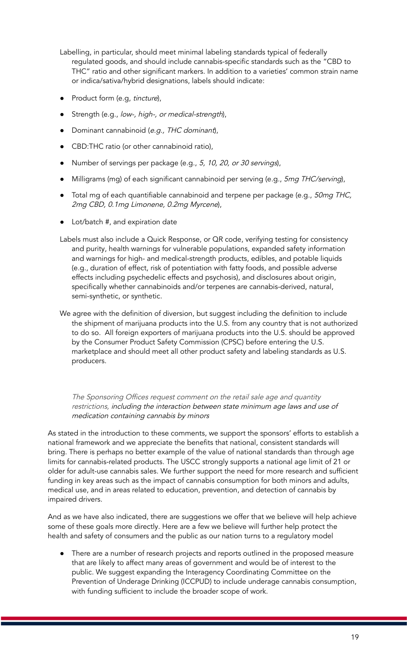- Labelling, in particular, should meet minimal labeling standards typical of federally regulated goods, and should include cannabis-specific standards such as the "CBD to THC" ratio and other significant markers. In addition to a varieties' common strain name or indica/sativa/hybrid designations, labels should indicate:
- Product form (e.g, tincture),
- Strength (e.g., low-, high-, or medical-strength),
- Dominant cannabinoid (e.g., THC dominant),
- CBD:THC ratio (or other cannabinoid ratio),
- Number of servings per package (e.g., 5, 10, 20, or 30 servings),
- Milligrams (mg) of each significant cannabinoid per serving (e.g., 5mg THC/serving),
- Total mg of each quantifiable cannabinoid and terpene per package (e.g., 50mg THC, 2mg CBD, 0.1mg Limonene, 0.2mg Myrcene),
- Lot/batch #, and expiration date
- Labels must also include a Quick Response, or QR code, verifying testing for consistency and purity, health warnings for vulnerable populations, expanded safety information and warnings for high- and medical-strength products, edibles, and potable liquids (e.g., duration of effect, risk of potentiation with fatty foods, and possible adverse effects including psychedelic effects and psychosis), and disclosures about origin, specifically whether cannabinoids and/or terpenes are cannabis-derived, natural, semi-synthetic, or synthetic.
- We agree with the definition of diversion, but suggest including the definition to include the shipment of marijuana products into the U.S. from any country that is not authorized to do so. All foreign exporters of marijuana products into the U.S. should be approved by the Consumer Product Safety Commission (CPSC) before entering the U.S. marketplace and should meet all other product safety and labeling standards as U.S. producers.

The Sponsoring Offices request comment on the retail sale age and quantity restrictions, including the interaction between state minimum age laws and use of medication containing cannabis by minors

As stated in the introduction to these comments, we support the sponsors' efforts to establish a national framework and we appreciate the benefits that national, consistent standards will bring. There is perhaps no better example of the value of national standards than through age limits for cannabis-related products. The USCC strongly supports a national age limit of 21 or older for adult-use cannabis sales. We further support the need for more research and sufficient funding in key areas such as the impact of cannabis consumption for both minors and adults, medical use, and in areas related to education, prevention, and detection of cannabis by impaired drivers.

And as we have also indicated, there are suggestions we offer that we believe will help achieve some of these goals more directly. Here are a few we believe will further help protect the health and safety of consumers and the public as our nation turns to a regulatory model

There are a number of research projects and reports outlined in the proposed measure that are likely to affect many areas of government and would be of interest to the public. We suggest expanding the Interagency Coordinating Committee on the Prevention of Underage Drinking (ICCPUD) to include underage cannabis consumption, with funding sufficient to include the broader scope of work.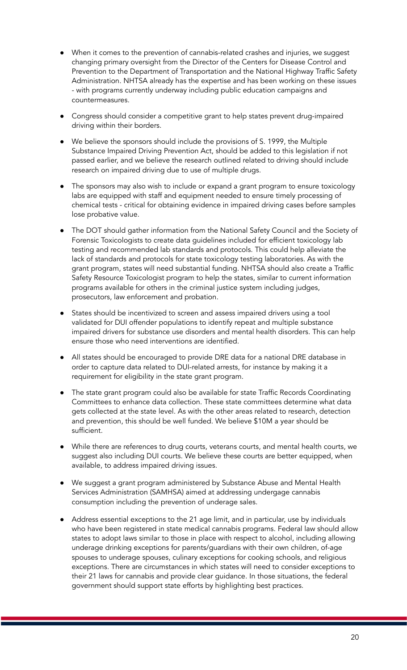- When it comes to the prevention of cannabis-related crashes and injuries, we suggest changing primary oversight from the Director of the Centers for Disease Control and Prevention to the Department of Transportation and the National Highway Traffic Safety Administration. NHTSA already has the expertise and has been working on these issues - with programs currently underway including public education campaigns and countermeasures.
- Congress should consider a competitive grant to help states prevent drug-impaired driving within their borders.
- We believe the sponsors should include the provisions of S. 1999, the Multiple Substance Impaired Driving Prevention Act, should be added to this legislation if not passed earlier, and we believe the research outlined related to driving should include research on impaired driving due to use of multiple drugs.
- The sponsors may also wish to include or expand a grant program to ensure toxicology labs are equipped with staff and equipment needed to ensure timely processing of chemical tests - critical for obtaining evidence in impaired driving cases before samples lose probative value.
- The DOT should gather information from the National Safety Council and the Society of Forensic Toxicologists to create data guidelines included for efficient toxicology lab testing and recommended lab standards and protocols. This could help alleviate the lack of standards and protocols for state toxicology testing laboratories. As with the grant program, states will need substantial funding. NHTSA should also create a Traffic Safety Resource Toxicologist program to help the states, similar to current information programs available for others in the criminal justice system including judges, prosecutors, law enforcement and probation.
- States should be incentivized to screen and assess impaired drivers using a tool validated for DUI offender populations to identify repeat and multiple substance impaired drivers for substance use disorders and mental health disorders. This can help ensure those who need interventions are identified.
- All states should be encouraged to provide DRE data for a national DRE database in order to capture data related to DUI-related arrests, for instance by making it a requirement for eligibility in the state grant program.
- The state grant program could also be available for state Traffic Records Coordinating Committees to enhance data collection. These state committees determine what data gets collected at the state level. As with the other areas related to research, detection and prevention, this should be well funded. We believe \$10M a year should be sufficient.
- While there are references to drug courts, veterans courts, and mental health courts, we suggest also including DUI courts. We believe these courts are better equipped, when available, to address impaired driving issues.
- We suggest a grant program administered by Substance Abuse and Mental Health Services Administration (SAMHSA) aimed at addressing undergage cannabis consumption including the prevention of underage sales.
- Address essential exceptions to the 21 age limit, and in particular, use by individuals who have been registered in state medical cannabis programs. Federal law should allow states to adopt laws similar to those in place with respect to alcohol, including allowing underage drinking exceptions for parents/guardians with their own children, of-age spouses to underage spouses, culinary exceptions for cooking schools, and religious exceptions. There are circumstances in which states will need to consider exceptions to their 21 laws for cannabis and provide clear guidance. In those situations, the federal government should support state efforts by highlighting best practices.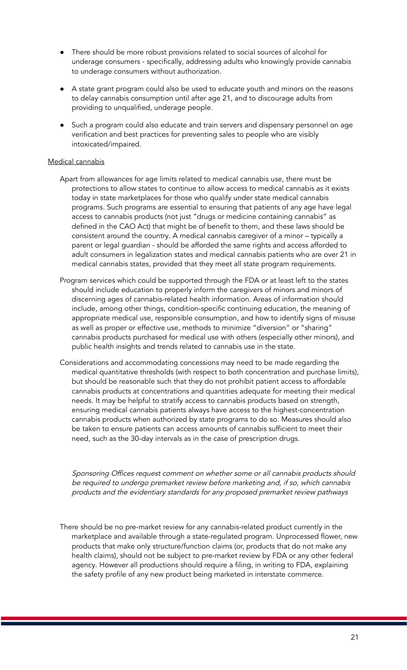- There should be more robust provisions related to social sources of alcohol for underage consumers - specifically, addressing adults who knowingly provide cannabis to underage consumers without authorization.
- A state grant program could also be used to educate youth and minors on the reasons to delay cannabis consumption until after age 21, and to discourage adults from providing to unqualified, underage people.
- Such a program could also educate and train servers and dispensary personnel on age verification and best practices for preventing sales to people who are visibly intoxicated/impaired.

#### Medical cannabis

- Apart from allowances for age limits related to medical cannabis use, there must be protections to allow states to continue to allow access to medical cannabis as it exists today in state marketplaces for those who qualify under state medical cannabis programs. Such programs are essential to ensuring that patients of any age have legal access to cannabis products (not just "drugs or medicine containing cannabis" as defined in the CAO Act) that might be of benefit to them, and these laws should be consistent around the country. A medical cannabis caregiver of a minor – typically a parent or legal guardian - should be afforded the same rights and access afforded to adult consumers in legalization states and medical cannabis patients who are over 21 in medical cannabis states, provided that they meet all state program requirements.
- Program services which could be supported through the FDA or at least left to the states should include education to properly inform the caregivers of minors and minors of discerning ages of cannabis-related health information. Areas of information should include, among other things, condition-specific continuing education, the meaning of appropriate medical use, responsible consumption, and how to identify signs of misuse as well as proper or effective use, methods to minimize "diversion" or "sharing" cannabis products purchased for medical use with others (especially other minors), and public health insights and trends related to cannabis use in the state.
- Considerations and accommodating concessions may need to be made regarding the medical quantitative thresholds (with respect to both concentration and purchase limits), but should be reasonable such that they do not prohibit patient access to affordable cannabis products at concentrations and quantities adequate for meeting their medical needs. It may be helpful to stratify access to cannabis products based on strength, ensuring medical cannabis patients always have access to the highest-concentration cannabis products when authorized by state programs to do so. Measures should also be taken to ensure patients can access amounts of cannabis sufficient to meet their need, such as the 30-day intervals as in the case of prescription drugs.

Sponsoring Offices request comment on whether some or all cannabis products should be required to undergo premarket review before marketing and, if so, which cannabis products and the evidentiary standards for any proposed premarket review pathways

There should be no pre-market review for any cannabis-related product currently in the marketplace and available through a state-regulated program. Unprocessed flower, new products that make only structure/function claims (or, products that do not make any health claims), should not be subject to pre-market review by FDA or any other federal agency. However all productions should require a filing, in writing to FDA, explaining the safety profile of any new product being marketed in interstate commerce.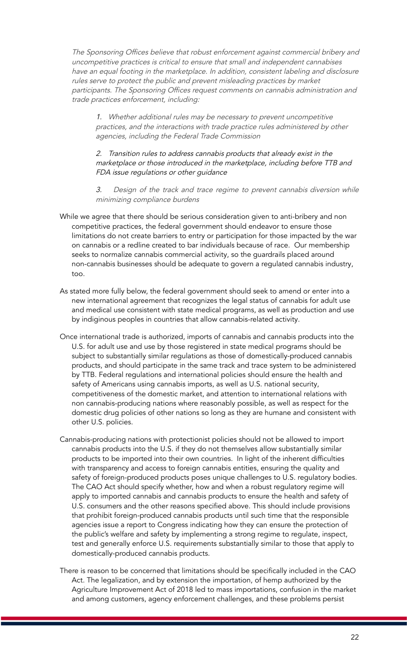The Sponsoring Offices believe that robust enforcement against commercial bribery and uncompetitive practices is critical to ensure that small and independent cannabises have an equal footing in the marketplace. In addition, consistent labeling and disclosure rules serve to protect the public and prevent misleading practices by market participants. The Sponsoring Offices request comments on cannabis administration and trade practices enforcement, including:

1. Whether additional rules may be necessary to prevent uncompetitive practices, and the interactions with trade practice rules administered by other agencies, including the Federal Trade Commission

2. Transition rules to address cannabis products that already exist in the marketplace or those introduced in the marketplace, including before TTB and FDA issue regulations or other guidance

Design of the track and trace regime to prevent cannabis diversion while minimizing compliance burdens

- While we agree that there should be serious consideration given to anti-bribery and non competitive practices, the federal government should endeavor to ensure those limitations do not create barriers to entry or participation for those impacted by the war on cannabis or a redline created to bar individuals because of race. Our membership seeks to normalize cannabis commercial activity, so the guardrails placed around non-cannabis businesses should be adequate to govern a regulated cannabis industry, too.
- As stated more fully below, the federal government should seek to amend or enter into a new international agreement that recognizes the legal status of cannabis for adult use and medical use consistent with state medical programs, as well as production and use by indiginous peoples in countries that allow cannabis-related activity.
- Once international trade is authorized, imports of cannabis and cannabis products into the U.S. for adult use and use by those registered in state medical programs should be subject to substantially similar regulations as those of domestically-produced cannabis products, and should participate in the same track and trace system to be administered by TTB. Federal regulations and international policies should ensure the health and safety of Americans using cannabis imports, as well as U.S. national security, competitiveness of the domestic market, and attention to international relations with non cannabis-producing nations where reasonably possible, as well as respect for the domestic drug policies of other nations so long as they are humane and consistent with other U.S. policies.
- Cannabis-producing nations with protectionist policies should not be allowed to import cannabis products into the U.S. if they do not themselves allow substantially similar products to be imported into their own countries. In light of the inherent difficulties with transparency and access to foreign cannabis entities, ensuring the quality and safety of foreign-produced products poses unique challenges to U.S. regulatory bodies. The CAO Act should specify whether, how and when a robust regulatory regime will apply to imported cannabis and cannabis products to ensure the health and safety of U.S. consumers and the other reasons specified above. This should include provisions that prohibit foreign-produced cannabis products until such time that the responsible agencies issue a report to Congress indicating how they can ensure the protection of the public's welfare and safety by implementing a strong regime to regulate, inspect, test and generally enforce U.S. requirements substantially similar to those that apply to domestically-produced cannabis products.
- There is reason to be concerned that limitations should be specifically included in the CAO Act. The legalization, and by extension the importation, of hemp authorized by the Agriculture Improvement Act of 2018 led to mass importations, confusion in the market and among customers, agency enforcement challenges, and these problems persist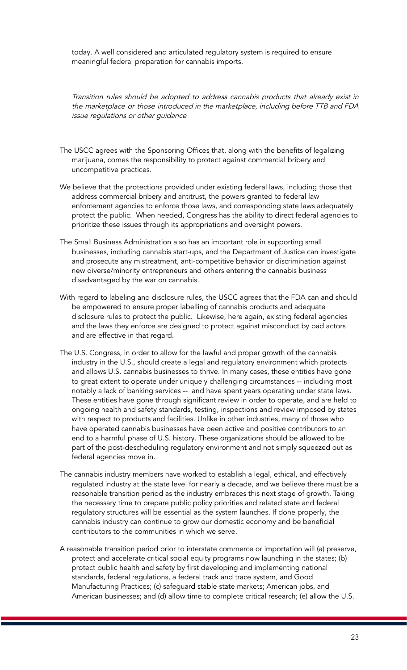today. A well considered and articulated regulatory system is required to ensure meaningful federal preparation for cannabis imports.

Transition rules should be adopted to address cannabis products that already exist in the marketplace or those introduced in the marketplace, including before TTB and FDA issue regulations or other guidance

- The USCC agrees with the Sponsoring Offices that, along with the benefits of legalizing marijuana, comes the responsibility to protect against commercial bribery and uncompetitive practices.
- We believe that the protections provided under existing federal laws, including those that address commercial bribery and antitrust, the powers granted to federal law enforcement agencies to enforce those laws, and corresponding state laws adequately protect the public. When needed, Congress has the ability to direct federal agencies to prioritize these issues through its appropriations and oversight powers.
- The Small Business Administration also has an important role in supporting small businesses, including cannabis start-ups, and the Department of Justice can investigate and prosecute any mistreatment, anti-competitive behavior or discrimination against new diverse/minority entrepreneurs and others entering the cannabis business disadvantaged by the war on cannabis.
- With regard to labeling and disclosure rules, the USCC agrees that the FDA can and should be empowered to ensure proper labelling of cannabis products and adequate disclosure rules to protect the public. Likewise, here again, existing federal agencies and the laws they enforce are designed to protect against misconduct by bad actors and are effective in that regard.
- The U.S. Congress, in order to allow for the lawful and proper growth of the cannabis industry in the U.S., should create a legal and regulatory environment which protects and allows U.S. cannabis businesses to thrive. In many cases, these entities have gone to great extent to operate under uniquely challenging circumstances -- including most notably a lack of banking services -- and have spent years operating under state laws. These entities have gone through significant review in order to operate, and are held to ongoing health and safety standards, testing, inspections and review imposed by states with respect to products and facilities. Unlike in other industries, many of those who have operated cannabis businesses have been active and positive contributors to an end to a harmful phase of U.S. history. These organizations should be allowed to be part of the post-descheduling regulatory environment and not simply squeezed out as federal agencies move in.
- The cannabis industry members have worked to establish a legal, ethical, and effectively regulated industry at the state level for nearly a decade, and we believe there must be a reasonable transition period as the industry embraces this next stage of growth. Taking the necessary time to prepare public policy priorities and related state and federal regulatory structures will be essential as the system launches. If done properly, the cannabis industry can continue to grow our domestic economy and be beneficial contributors to the communities in which we serve.
- A reasonable transition period prior to interstate commerce or importation will (a) preserve, protect and accelerate critical social equity programs now launching in the states; (b) protect public health and safety by first developing and implementing national standards, federal regulations, a federal track and trace system, and Good Manufacturing Practices; (c) safeguard stable state markets; American jobs, and American businesses; and (d) allow time to complete critical research; (e) allow the U.S.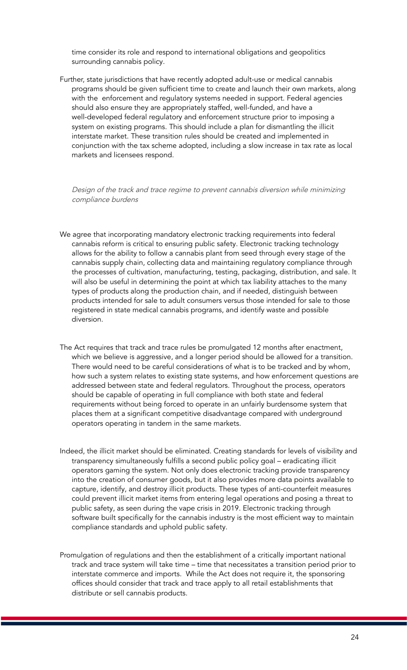time consider its role and respond to international obligations and geopolitics surrounding cannabis policy.

Further, state jurisdictions that have recently adopted adult-use or medical cannabis programs should be given sufficient time to create and launch their own markets, along with the enforcement and regulatory systems needed in support. Federal agencies should also ensure they are appropriately staffed, well-funded, and have a well-developed federal regulatory and enforcement structure prior to imposing a system on existing programs. This should include a plan for dismantling the illicit interstate market. These transition rules should be created and implemented in conjunction with the tax scheme adopted, including a slow increase in tax rate as local markets and licensees respond.

Design of the track and trace regime to prevent cannabis diversion while minimizing compliance burdens

- We agree that incorporating mandatory electronic tracking requirements into federal cannabis reform is critical to ensuring public safety. Electronic tracking technology allows for the ability to follow a cannabis plant from seed through every stage of the cannabis supply chain, collecting data and maintaining regulatory compliance through the processes of cultivation, manufacturing, testing, packaging, distribution, and sale. It will also be useful in determining the point at which tax liability attaches to the many types of products along the production chain, and if needed, distinguish between products intended for sale to adult consumers versus those intended for sale to those registered in state medical cannabis programs, and identify waste and possible diversion.
- The Act requires that track and trace rules be promulgated 12 months after enactment, which we believe is aggressive, and a longer period should be allowed for a transition. There would need to be careful considerations of what is to be tracked and by whom, how such a system relates to existing state systems, and how enforcement questions are addressed between state and federal regulators. Throughout the process, operators should be capable of operating in full compliance with both state and federal requirements without being forced to operate in an unfairly burdensome system that places them at a significant competitive disadvantage compared with underground operators operating in tandem in the same markets.
- Indeed, the illicit market should be eliminated. Creating standards for levels of visibility and transparency simultaneously fulfills a second public policy goal – eradicating illicit operators gaming the system. Not only does electronic tracking provide transparency into the creation of consumer goods, but it also provides more data points available to capture, identify, and destroy illicit products. These types of anti-counterfeit measures could prevent illicit market items from entering legal operations and posing a threat to public safety, as seen during the vape crisis in 2019. Electronic tracking through software built specifically for the cannabis industry is the most efficient way to maintain compliance standards and uphold public safety.
- Promulgation of regulations and then the establishment of a critically important national track and trace system will take time – time that necessitates a transition period prior to interstate commerce and imports. While the Act does not require it, the sponsoring offices should consider that track and trace apply to all retail establishments that distribute or sell cannabis products.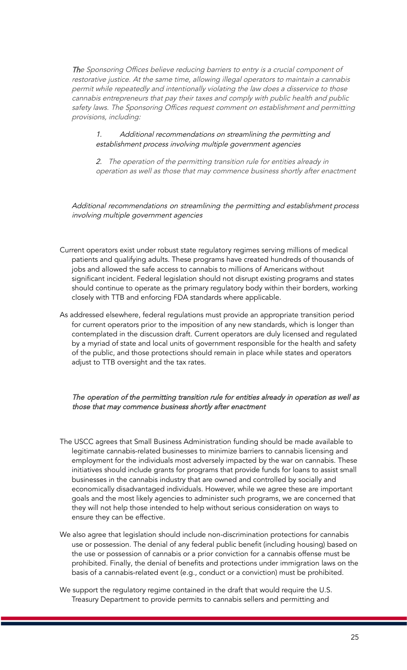The Sponsoring Offices believe reducing barriers to entry is a crucial component of restorative justice. At the same time, allowing illegal operators to maintain <sup>a</sup> cannabis permit while repeatedly and intentionally violating the law does <sup>a</sup> disservice to those cannabis entrepreneurs that pay their taxes and comply with public health and public safety laws. The Sponsoring Offices request comment on establishment and permitting provisions, including:

#### 1. Additional recommendations on streamlining the permitting and establishment process involving multiple government agencies

2. The operation of the permitting transition rule for entities already in operation as well as those that may commence business shortly after enactment

Additional recommendations on streamlining the permitting and establishment process involving multiple government agencies

- Current operators exist under robust state regulatory regimes serving millions of medical patients and qualifying adults. These programs have created hundreds of thousands of jobs and allowed the safe access to cannabis to millions of Americans without significant incident. Federal legislation should not disrupt existing programs and states should continue to operate as the primary regulatory body within their borders, working closely with TTB and enforcing FDA standards where applicable.
- As addressed elsewhere, federal regulations must provide an appropriate transition period for current operators prior to the imposition of any new standards, which is longer than contemplated in the discussion draft. Current operators are duly licensed and regulated by a myriad of state and local units of government responsible for the health and safety of the public, and those protections should remain in place while states and operators adjust to TTB oversight and the tax rates.

The operation of the permitting transition rule for entities already in operation as well as those that may commence business shortly after enactment

- The USCC agrees that Small Business Administration funding should be made available to legitimate cannabis-related businesses to minimize barriers to cannabis licensing and employment for the individuals most adversely impacted by the war on cannabis. These initiatives should include grants for programs that provide funds for loans to assist small businesses in the cannabis industry that are owned and controlled by socially and economically disadvantaged individuals. However, while we agree these are important goals and the most likely agencies to administer such programs, we are concerned that they will not help those intended to help without serious consideration on ways to ensure they can be effective.
- We also agree that legislation should include non-discrimination protections for cannabis use or possession. The denial of any federal public benefit (including housing) based on the use or possession of cannabis or a prior conviction for a cannabis offense must be prohibited. Finally, the denial of benefits and protections under immigration laws on the basis of a cannabis-related event (e.g., conduct or a conviction) must be prohibited.
- We support the regulatory regime contained in the draft that would require the U.S. Treasury Department to provide permits to cannabis sellers and permitting and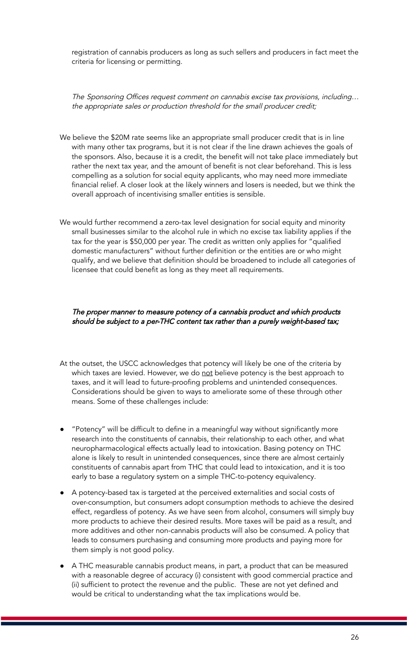registration of cannabis producers as long as such sellers and producers in fact meet the criteria for licensing or permitting.

The Sponsoring Offices request comment on cannabis excise tax provisions, including… the appropriate sales or production threshold for the small producer credit;

- We believe the \$20M rate seems like an appropriate small producer credit that is in line with many other tax programs, but it is not clear if the line drawn achieves the goals of the sponsors. Also, because it is a credit, the benefit will not take place immediately but rather the next tax year, and the amount of benefit is not clear beforehand. This is less compelling as a solution for social equity applicants, who may need more immediate financial relief. A closer look at the likely winners and losers is needed, but we think the overall approach of incentivising smaller entities is sensible.
- We would further recommend a zero-tax level designation for social equity and minority small businesses similar to the alcohol rule in which no excise tax liability applies if the tax for the year is \$50,000 per year. The credit as written only applies for "qualified domestic manufacturers" without further definition or the entities are or who might qualify, and we believe that definition should be broadened to include all categories of licensee that could benefit as long as they meet all requirements.

The proper manner to measure potency of a cannabis product and which products should be subject to <sup>a</sup> per-THC content tax rather than <sup>a</sup> purely weight-based tax;

- At the outset, the USCC acknowledges that potency will likely be one of the criteria by which taxes are levied. However, we do not believe potency is the best approach to taxes, and it will lead to future-proofing problems and unintended consequences. Considerations should be given to ways to ameliorate some of these through other means. Some of these challenges include:
- "Potency" will be difficult to define in a meaningful way without significantly more research into the constituents of cannabis, their relationship to each other, and what neuropharmacological effects actually lead to intoxication. Basing potency on THC alone is likely to result in unintended consequences, since there are almost certainly constituents of cannabis apart from THC that could lead to intoxication, and it is too early to base a regulatory system on a simple THC-to-potency equivalency.
- A potency-based tax is targeted at the perceived externalities and social costs of over-consumption, but consumers adopt consumption methods to achieve the desired effect, regardless of potency. As we have seen from alcohol, consumers will simply buy more products to achieve their desired results. More taxes will be paid as a result, and more additives and other non-cannabis products will also be consumed. A policy that leads to consumers purchasing and consuming more products and paying more for them simply is not good policy.
- A THC measurable cannabis product means, in part, a product that can be measured with a reasonable degree of accuracy (i) consistent with good commercial practice and (ii) sufficient to protect the revenue and the public. These are not yet defined and would be critical to understanding what the tax implications would be.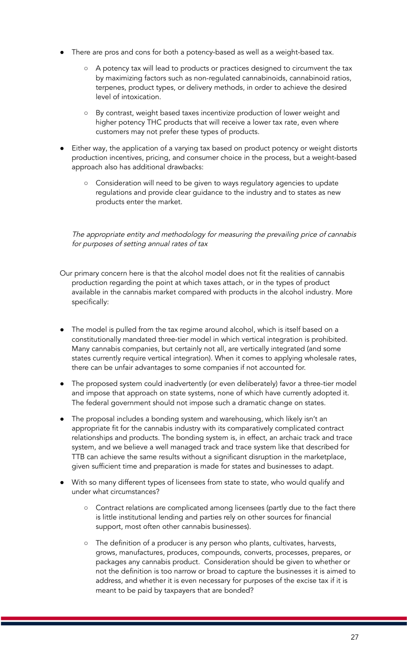- There are pros and cons for both a potency-based as well as a weight-based tax.
	- A potency tax will lead to products or practices designed to circumvent the tax by maximizing factors such as non-regulated cannabinoids, cannabinoid ratios, terpenes, product types, or delivery methods, in order to achieve the desired level of intoxication.
	- By contrast, weight based taxes incentivize production of lower weight and higher potency THC products that will receive a lower tax rate, even where customers may not prefer these types of products.
- Either way, the application of a varying tax based on product potency or weight distorts production incentives, pricing, and consumer choice in the process, but a weight-based approach also has additional drawbacks:
	- Consideration will need to be given to ways regulatory agencies to update regulations and provide clear guidance to the industry and to states as new products enter the market.

The appropriate entity and methodology for measuring the prevailing price of cannabis for purposes of setting annual rates of tax

- Our primary concern here is that the alcohol model does not fit the realities of cannabis production regarding the point at which taxes attach, or in the types of product available in the cannabis market compared with products in the alcohol industry. More specifically:
- The model is pulled from the tax regime around alcohol, which is itself based on a constitutionally mandated three-tier model in which vertical integration is prohibited. Many cannabis companies, but certainly not all, are vertically integrated (and some states currently require vertical integration). When it comes to applying wholesale rates, there can be unfair advantages to some companies if not accounted for.
- The proposed system could inadvertently (or even deliberately) favor a three-tier model and impose that approach on state systems, none of which have currently adopted it. The federal government should not impose such a dramatic change on states.
- The proposal includes a bonding system and warehousing, which likely isn't an appropriate fit for the cannabis industry with its comparatively complicated contract relationships and products. The bonding system is, in effect, an archaic track and trace system, and we believe a well managed track and trace system like that described for TTB can achieve the same results without a significant disruption in the marketplace, given sufficient time and preparation is made for states and businesses to adapt.
- With so many different types of licensees from state to state, who would qualify and under what circumstances?
	- Contract relations are complicated among licensees (partly due to the fact there is little institutional lending and parties rely on other sources for financial support, most often other cannabis businesses).
	- The definition of a producer is any person who plants, cultivates, harvests, grows, manufactures, produces, compounds, converts, processes, prepares, or packages any cannabis product. Consideration should be given to whether or not the definition is too narrow or broad to capture the businesses it is aimed to address, and whether it is even necessary for purposes of the excise tax if it is meant to be paid by taxpayers that are bonded?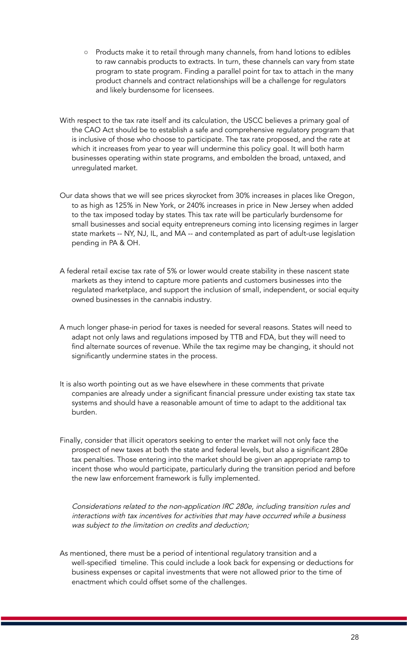- Products make it to retail through many channels, from hand lotions to edibles to raw cannabis products to extracts. In turn, these channels can vary from state program to state program. Finding a parallel point for tax to attach in the many product channels and contract relationships will be a challenge for regulators and likely burdensome for licensees.
- With respect to the tax rate itself and its calculation, the USCC believes a primary goal of the CAO Act should be to establish a safe and comprehensive regulatory program that is inclusive of those who choose to participate. The tax rate proposed, and the rate at which it increases from year to year will undermine this policy goal. It will both harm businesses operating within state programs, and embolden the broad, untaxed, and unregulated market.
- Our data shows that we will see prices skyrocket from 30% increases in places like Oregon, to as high as 125% in New York, or 240% increases in price in New Jersey when added to the tax imposed today by states. This tax rate will be particularly burdensome for small businesses and social equity entrepreneurs coming into licensing regimes in larger state markets -- NY, NJ, IL, and MA -- and contemplated as part of adult-use legislation pending in PA & OH.
- A federal retail excise tax rate of 5% or lower would create stability in these nascent state markets as they intend to capture more patients and customers businesses into the regulated marketplace, and support the inclusion of small, independent, or social equity owned businesses in the cannabis industry.
- A much longer phase-in period for taxes is needed for several reasons. States will need to adapt not only laws and regulations imposed by TTB and FDA, but they will need to find alternate sources of revenue. While the tax regime may be changing, it should not significantly undermine states in the process.
- It is also worth pointing out as we have elsewhere in these comments that private companies are already under a significant financial pressure under existing tax state tax systems and should have a reasonable amount of time to adapt to the additional tax burden.
- Finally, consider that illicit operators seeking to enter the market will not only face the prospect of new taxes at both the state and federal levels, but also a significant 280e tax penalties. Those entering into the market should be given an appropriate ramp to incent those who would participate, particularly during the transition period and before the new law enforcement framework is fully implemented.

Considerations related to the non-application IRC 280e, including transition rules and interactions with tax incentives for activities that may have occurred while <sup>a</sup> business was subject to the limitation on credits and deduction;

As mentioned, there must be a period of intentional regulatory transition and a well-specified timeline. This could include a look back for expensing or deductions for business expenses or capital investments that were not allowed prior to the time of enactment which could offset some of the challenges.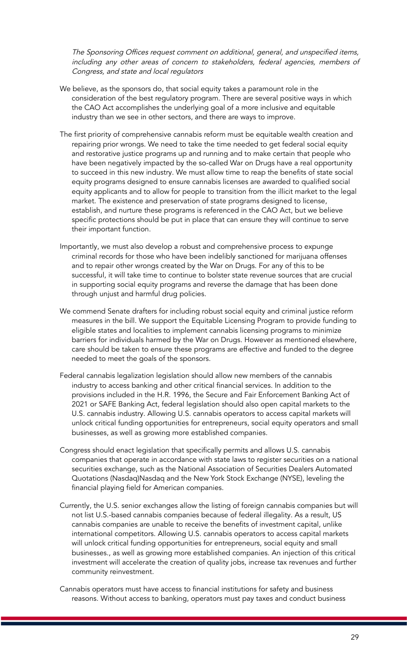The Sponsoring Offices request comment on additional, general, and unspecified items, including any other areas of concern to stakeholders, federal agencies, members of Congress, and state and local regulators

- We believe, as the sponsors do, that social equity takes a paramount role in the consideration of the best regulatory program. There are several positive ways in which the CAO Act accomplishes the underlying goal of a more inclusive and equitable industry than we see in other sectors, and there are ways to improve.
- The first priority of comprehensive cannabis reform must be equitable wealth creation and repairing prior wrongs. We need to take the time needed to get federal social equity and restorative justice programs up and running and to make certain that people who have been negatively impacted by the so-called War on Drugs have a real opportunity to succeed in this new industry. We must allow time to reap the benefits of state social equity programs designed to ensure cannabis licenses are awarded to qualified social equity applicants and to allow for people to transition from the illicit market to the legal market. The existence and preservation of state programs designed to license, establish, and nurture these programs is referenced in the CAO Act, but we believe specific protections should be put in place that can ensure they will continue to serve their important function.
- Importantly, we must also develop a robust and comprehensive process to expunge criminal records for those who have been indelibly sanctioned for marijuana offenses and to repair other wrongs created by the War on Drugs. For any of this to be successful, it will take time to continue to bolster state revenue sources that are crucial in supporting social equity programs and reverse the damage that has been done through unjust and harmful drug policies.
- We commend Senate drafters for including robust social equity and criminal justice reform measures in the bill. We support the Equitable Licensing Program to provide funding to eligible states and localities to implement cannabis licensing programs to minimize barriers for individuals harmed by the War on Drugs. However as mentioned elsewhere, care should be taken to ensure these programs are effective and funded to the degree needed to meet the goals of the sponsors.
- Federal cannabis legalization legislation should allow new members of the cannabis industry to access banking and other critical financial services. In addition to the provisions included in the H.R. 1996, the Secure and Fair Enforcement Banking Act of 2021 or SAFE Banking Act, federal legislation should also open capital markets to the U.S. cannabis industry. Allowing U.S. cannabis operators to access capital markets will unlock critical funding opportunities for entrepreneurs, social equity operators and small businesses, as well as growing more established companies.
- Congress should enact legislation that specifically permits and allows U.S. cannabis companies that operate in accordance with state laws to register securities on a national securities exchange, such as the National Association of Securities Dealers Automated Quotations (Nasdaq)Nasdaq and the New York Stock Exchange (NYSE), leveling the financial playing field for American companies.
- Currently, the U.S. senior exchanges allow the listing of foreign cannabis companies but will not list U.S.-based cannabis companies because of federal illegality. As a result, US cannabis companies are unable to receive the benefits of investment capital, unlike international competitors. Allowing U.S. cannabis operators to access capital markets will unlock critical funding opportunities for entrepreneurs, social equity and small businesses., as well as growing more established companies. An injection of this critical investment will accelerate the creation of quality jobs, increase tax revenues and further community reinvestment.

Cannabis operators must have access to financial institutions for safety and business reasons. Without access to banking, operators must pay taxes and conduct business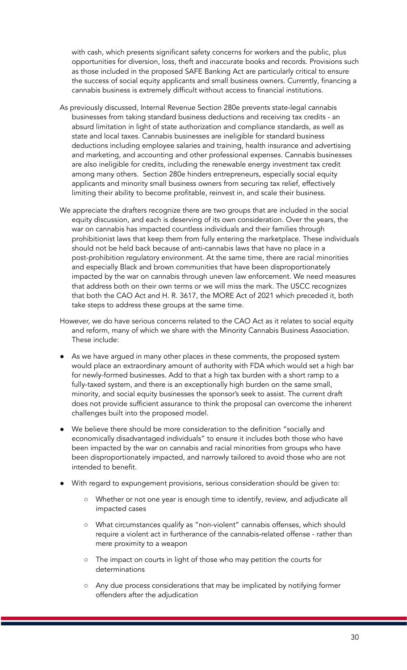with cash, which presents significant safety concerns for workers and the public, plus opportunities for diversion, loss, theft and inaccurate books and records. Provisions such as those included in the proposed SAFE Banking Act are particularly critical to ensure the success of social equity applicants and small business owners. Currently, financing a cannabis business is extremely difficult without access to financial institutions.

- As previously discussed, Internal Revenue Section 280e prevents state-legal cannabis businesses from taking standard business deductions and receiving tax credits - an absurd limitation in light of state authorization and compliance standards, as well as state and local taxes. Cannabis businesses are ineligible for standard business deductions including employee salaries and training, health insurance and advertising and marketing, and accounting and other professional expenses. Cannabis businesses are also ineligible for credits, including the renewable energy investment tax credit among many others. Section 280e hinders entrepreneurs, especially social equity applicants and minority small business owners from securing tax relief, effectively limiting their ability to become profitable, reinvest in, and scale their business.
- We appreciate the drafters recognize there are two groups that are included in the social equity discussion, and each is deserving of its own consideration. Over the years, the war on cannabis has impacted countless individuals and their families through prohibitionist laws that keep them from fully entering the marketplace. These individuals should not be held back because of anti-cannabis laws that have no place in a post-prohibition regulatory environment. At the same time, there are racial minorities and especially Black and brown communities that have been disproportionately impacted by the war on cannabis through uneven law enforcement. We need measures that address both on their own terms or we will miss the mark. The USCC recognizes that both the CAO Act and H. R. 3617, the MORE Act of 2021 which preceded it, both take steps to address these groups at the same time.
- However, we do have serious concerns related to the CAO Act as it relates to social equity and reform, many of which we share with the Minority Cannabis Business Association. These include:
- As we have argued in many other places in these comments, the proposed system would place an extraordinary amount of authority with FDA which would set a high bar for newly-formed businesses. Add to that a high tax burden with a short ramp to a fully-taxed system, and there is an exceptionally high burden on the same small, minority, and social equity businesses the sponsor's seek to assist. The current draft does not provide sufficient assurance to think the proposal can overcome the inherent challenges built into the proposed model.
- We believe there should be more consideration to the definition "socially and economically disadvantaged individuals" to ensure it includes both those who have been impacted by the war on cannabis and racial minorities from groups who have been disproportionately impacted, and narrowly tailored to avoid those who are not intended to benefit.
- With regard to expungement provisions, serious consideration should be given to:
	- Whether or not one year is enough time to identify, review, and adjudicate all impacted cases
	- What circumstances qualify as "non-violent" cannabis offenses, which should require a violent act in furtherance of the cannabis-related offense - rather than mere proximity to a weapon
	- The impact on courts in light of those who may petition the courts for determinations
	- Any due process considerations that may be implicated by notifying former offenders after the adjudication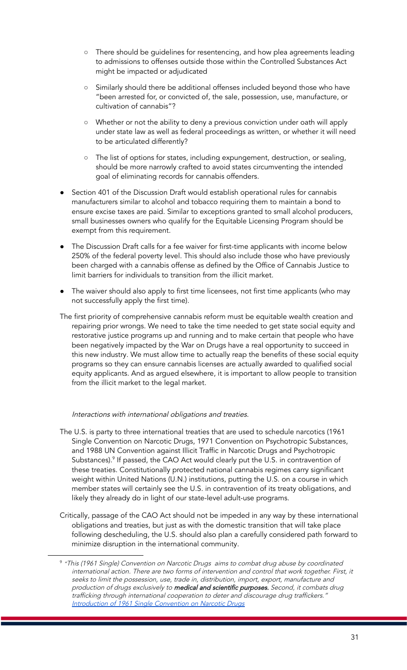- There should be guidelines for resentencing, and how plea agreements leading to admissions to offenses outside those within the Controlled Substances Act might be impacted or adjudicated
- Similarly should there be additional offenses included beyond those who have "been arrested for, or convicted of, the sale, possession, use, manufacture, or cultivation of cannabis"?
- Whether or not the ability to deny a previous conviction under oath will apply under state law as well as federal proceedings as written, or whether it will need to be articulated differently?
- The list of options for states, including expungement, destruction, or sealing, should be more narrowly crafted to avoid states circumventing the intended goal of eliminating records for cannabis offenders.
- Section 401 of the Discussion Draft would establish operational rules for cannabis manufacturers similar to alcohol and tobacco requiring them to maintain a bond to ensure excise taxes are paid. Similar to exceptions granted to small alcohol producers, small businesses owners who qualify for the Equitable Licensing Program should be exempt from this requirement.
- The Discussion Draft calls for a fee waiver for first-time applicants with income below 250% of the federal poverty level. This should also include those who have previously been charged with a cannabis offense as defined by the Office of Cannabis Justice to limit barriers for individuals to transition from the illicit market.
- The waiver should also apply to first time licensees, not first time applicants (who may not successfully apply the first time).
- The first priority of comprehensive cannabis reform must be equitable wealth creation and repairing prior wrongs. We need to take the time needed to get state social equity and restorative justice programs up and running and to make certain that people who have been negatively impacted by the War on Drugs have a real opportunity to succeed in this new industry. We must allow time to actually reap the benefits of these social equity programs so they can ensure cannabis licenses are actually awarded to qualified social equity applicants. And as argued elsewhere, it is important to allow people to transition from the illicit market to the legal market.

### Interactions with international obligations and treaties.

- The U.S. is party to three international treaties that are used to schedule narcotics (1961 Single Convention on Narcotic Drugs, 1971 Convention on Psychotropic Substances, and 1988 UN Convention against Illicit Traffic in Narcotic Drugs and Psychotropic Substances).<sup>9</sup> If passed, the CAO Act would clearly put the U.S. in contravention of these treaties. Constitutionally protected national cannabis regimes carry significant weight within United Nations (U.N.) institutions, putting the U.S. on a course in which member states will certainly see the U.S. in contravention of its treaty obligations, and likely they already do in light of our state-level adult-use programs.
- Critically, passage of the CAO Act should not be impeded in any way by these international obligations and treaties, but just as with the domestic transition that will take place following descheduling, the U.S. should also plan a carefully considered path forward to minimize disruption in the international community.

<sup>&</sup>lt;sup>9</sup> "This (1961 Single) Convention on Narcotic Drugs aims to combat drug abuse by coordinated international action. There are two forms of intervention and control that work together. First, it seeks to limit the possession, use, trade in, distribution, import, export, manufacture and production of drugs exclusively to medical and scientific purposes. Second, it combats drug trafficking through international cooperation to deter and discourage drug traffickers." [Introduction](https://www.unodc.org/unodc/en/treaties/single-convention.html?ref=menuside) of 1961 Single Convention on Narcotic Drugs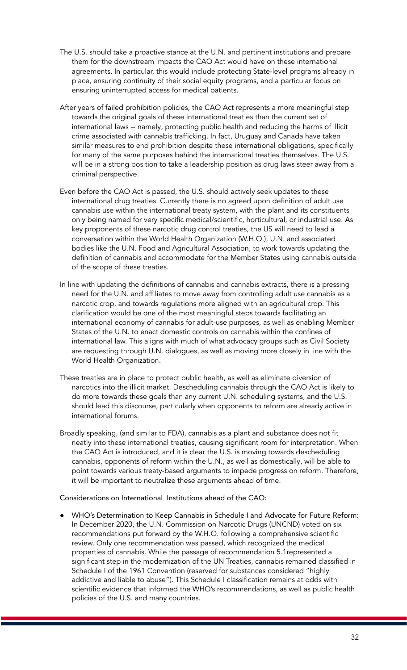- The U.S. should take a proactive stance at the U.N. and pertinent institutions and prepare them for the downstream impacts the CAO Act would have on these international agreements. In particular, this would include protecting State-level programs already in place, ensuring continuity of their social equity programs, and a particular focus on ensuring uninterrupted access for medical patients.
- After years of failed prohibition policies, the CAO Act represents a more meaningful step towards the original goals of these international treaties than the current set of international laws -- namely, protecting public health and reducing the harms of illicit crime associated with cannabis trafficking. In fact, Uruguay and Canada have taken similar measures to end prohibition despite these international obligations, specifically for many of the same purposes behind the international treaties themselves. The U.S. will be in a strong position to take a leadership position as drug laws steer away from a criminal perspective.
- Even before the CAO Act is passed, the U.S. should actively seek updates to these international drug treaties. Currently there is no agreed upon definition of adult use cannabis use within the international treaty system, with the plant and its constituents only being named for very specific medical/scientific, horticultural, or industrial use. As key proponents of these narcotic drug control treaties, the US will need to lead a conversation within the World Health Organization (W.H.O.), U.N. and associated bodies like the U.N. Food and Agricultural Association, to work towards updating the definition of cannabis and accommodate for the Member States using cannabis outside of the scope of these treaties.
- In line with updating the definitions of cannabis and cannabis extracts, there is a pressing need for the U.N. and affiliates to move away from controlling adult use cannabis as a narcotic crop, and towards regulations more aligned with an agricultural crop. This clarification would be one of the most meaningful steps towards facilitating an international economy of cannabis for adult-use purposes, as well as enabling Member States of the U.N. to enact domestic controls on cannabis within the confines of international law. This aligns with much of what advocacy groups such as Civil Society are requesting through U.N. dialogues, as well as moving more closely in line with the World Health Organization.
- These treaties are in place to protect public health, as well as eliminate diversion of narcotics into the illicit market. Descheduling cannabis through the CAO Act is likely to do more towards these goals than any current U.N. scheduling systems, and the U.S. should lead this discourse, particularly when opponents to reform are already active in international forums.
- Broadly speaking, (and similar to FDA), cannabis as a plant and substance does not fit neatly into these international treaties, causing significant room for interpretation. When the CAO Act is introduced, and it is clear the U.S. is moving towards descheduling cannabis, opponents of reform within the U.N., as well as domestically, will be able to point towards various treaty-based arguments to impede progress on reform. Therefore, it will be important to neutralize these arguments ahead of time.

Considerations on International Institutions ahead of the CAO:

WHO's Determination to Keep Cannabis in Schedule I and Advocate for Future Reform: In December 2020, the U.N. Commission on Narcotic Drugs (UNCND) voted on six recommendations put forward by the W.H.O. following a comprehensive scientific review. Only one recommendation was passed, which recognized the medical properties of cannabis. While the passage of recommendation 5.1represented a significant step in the modernization of the UN Treaties, cannabis remained classified in Schedule I of the 1961 Convention (reserved for substances considered "highly addictive and liable to abuse"). This Schedule I classification remains at odds with scientific evidence that informed the WHO's recommendations, as well as public health policies of the U.S. and many countries.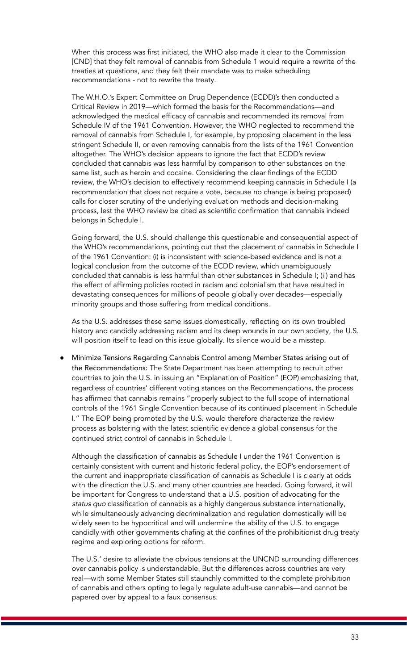When this process was first initiated, the WHO also made it clear to the Commission [CND] that they felt removal of cannabis from Schedule 1 would require a rewrite of the treaties at questions, and they felt their mandate was to make scheduling recommendations - not to rewrite the treaty.

The W.H.O.'s Expert Committee on Drug Dependence (ECDD)'s then conducted a Critical Review in 2019—which formed the basis for the Recommendations—and acknowledged the medical efficacy of cannabis and recommended its removal from Schedule IV of the 1961 Convention. However, the WHO neglected to recommend the removal of cannabis from Schedule I, for example, by proposing placement in the less stringent Schedule II, or even removing cannabis from the lists of the 1961 Convention altogether. The WHO's decision appears to ignore the fact that ECDD's review concluded that cannabis was less harmful by comparison to other substances on the same list, such as heroin and cocaine. Considering the clear findings of the ECDD review, the WHO's decision to effectively recommend keeping cannabis in Schedule I (a recommendation that does not require a vote, because no change is being proposed) calls for closer scrutiny of the underlying evaluation methods and decision-making process, lest the WHO review be cited as scientific confirmation that cannabis indeed belongs in Schedule I.

Going forward, the U.S. should challenge this questionable and consequential aspect of the WHO's recommendations, pointing out that the placement of cannabis in Schedule I of the 1961 Convention: (i) is inconsistent with science-based evidence and is not a logical conclusion from the outcome of the ECDD review, which unambiguously concluded that cannabis is less harmful than other substances in Schedule I; (ii) and has the effect of affirming policies rooted in racism and colonialism that have resulted in devastating consequences for millions of people globally over decades—especially minority groups and those suffering from medical conditions.

As the U.S. addresses these same issues domestically, reflecting on its own troubled history and candidly addressing racism and its deep wounds in our own society, the U.S. will position itself to lead on this issue globally. Its silence would be a misstep.

● Minimize Tensions Regarding Cannabis Control among Member States arising out of the Recommendations: The State Department has been attempting to recruit other countries to join the U.S. in issuing an "Explanation of Position" (EOP) emphasizing that, regardless of countries' different voting stances on the Recommendations, the process has affirmed that cannabis remains "properly subject to the full scope of international controls of the 1961 Single Convention because of its continued placement in Schedule I." The EOP being promoted by the U.S. would therefore characterize the review process as bolstering with the latest scientific evidence a global consensus for the continued strict control of cannabis in Schedule I.

Although the classification of cannabis as Schedule I under the 1961 Convention is certainly consistent with current and historic federal policy, the EOP's endorsement of the current and inappropriate classification of cannabis as Schedule I is clearly at odds with the direction the U.S. and many other countries are headed. Going forward, it will be important for Congress to understand that a U.S. position of advocating for the status quo classification of cannabis as a highly dangerous substance internationally, while simultaneously advancing decriminalization and regulation domestically will be widely seen to be hypocritical and will undermine the ability of the U.S. to engage candidly with other governments chafing at the confines of the prohibitionist drug treaty regime and exploring options for reform.

The U.S.' desire to alleviate the obvious tensions at the UNCND surrounding differences over cannabis policy is understandable. But the differences across countries are very real—with some Member States still staunchly committed to the complete prohibition of cannabis and others opting to legally regulate adult-use cannabis—and cannot be papered over by appeal to a faux consensus.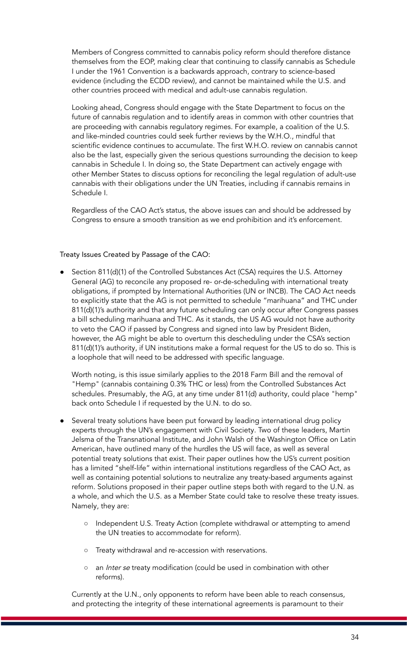Members of Congress committed to cannabis policy reform should therefore distance themselves from the EOP, making clear that continuing to classify cannabis as Schedule I under the 1961 Convention is a backwards approach, contrary to science-based evidence (including the ECDD review), and cannot be maintained while the U.S. and other countries proceed with medical and adult-use cannabis regulation.

Looking ahead, Congress should engage with the State Department to focus on the future of cannabis regulation and to identify areas in common with other countries that are proceeding with cannabis regulatory regimes. For example, a coalition of the U.S. and like-minded countries could seek further reviews by the W.H.O., mindful that scientific evidence continues to accumulate. The first W.H.O. review on cannabis cannot also be the last, especially given the serious questions surrounding the decision to keep cannabis in Schedule I. In doing so, the State Department can actively engage with other Member States to discuss options for reconciling the legal regulation of adult-use cannabis with their obligations under the UN Treaties, including if cannabis remains in Schedule I.

Regardless of the CAO Act's status, the above issues can and should be addressed by Congress to ensure a smooth transition as we end prohibition and it's enforcement.

### Treaty Issues Created by Passage of the CAO:

● Section 811(d)(1) of the Controlled Substances Act (CSA) requires the U.S. Attorney General (AG) to reconcile any proposed re- or-de-scheduling with international treaty obligations, if prompted by International Authorities (UN or INCB). The CAO Act needs to explicitly state that the AG is not permitted to schedule "marihuana" and THC under 811(d)(1)'s authority and that any future scheduling can only occur after Congress passes a bill scheduling marihuana and THC. As it stands, the US AG would not have authority to veto the CAO if passed by Congress and signed into law by President Biden, however, the AG might be able to overturn this descheduling under the CSA's section 811(d)(1)'s authority, if UN institutions make a formal request for the US to do so. This is a loophole that will need to be addressed with specific language.

Worth noting, is this issue similarly applies to the 2018 Farm Bill and the removal of "Hemp" (cannabis containing 0.3% THC or less) from the Controlled Substances Act schedules. Presumably, the AG, at any time under 811(d) authority, could place "hemp" back onto Schedule I if requested by the U.N. to do so.

- Several treaty solutions have been put forward by leading international drug policy experts through the UN's engagement with Civil Society. Two of these leaders, Martin Jelsma of the Transnational Institute, and John Walsh of the Washington Office on Latin American, have outlined many of the hurdles the US will face, as well as several potential treaty solutions that exist. Their paper outlines how the US's current position has a limited "shelf-life" within international institutions regardless of the CAO Act, as well as containing potential solutions to neutralize any treaty-based arguments against reform. Solutions proposed in their paper outline steps both with regard to the U.N. as a whole, and which the U.S. as a Member State could take to resolve these treaty issues. Namely, they are:
	- o Independent U.S. Treaty Action (complete withdrawal or attempting to amend the UN treaties to accommodate for reform).
	- Treaty withdrawal and re-accession with reservations.
	- o an Inter se treaty modification (could be used in combination with other reforms).

Currently at the U.N., only opponents to reform have been able to reach consensus, and protecting the integrity of these international agreements is paramount to their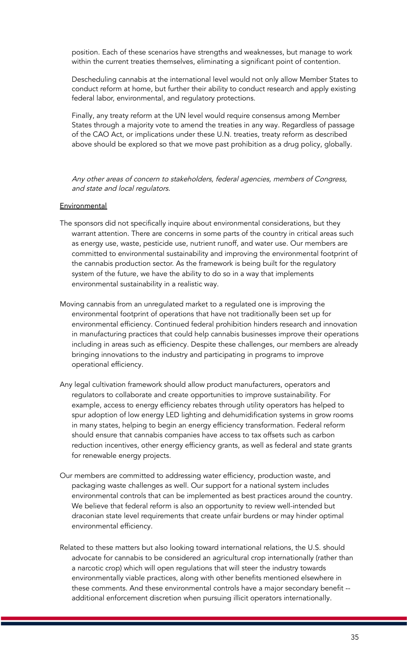position. Each of these scenarios have strengths and weaknesses, but manage to work within the current treaties themselves, eliminating a significant point of contention.

Descheduling cannabis at the international level would not only allow Member States to conduct reform at home, but further their ability to conduct research and apply existing federal labor, environmental, and regulatory protections.

Finally, any treaty reform at the UN level would require consensus among Member States through a majority vote to amend the treaties in any way. Regardless of passage of the CAO Act, or implications under these U.N. treaties, treaty reform as described above should be explored so that we move past prohibition as a drug policy, globally.

Any other areas of concern to stakeholders, federal agencies, members of Congress, and state and local regulators.

#### **Environmental**

- The sponsors did not specifically inquire about environmental considerations, but they warrant attention. There are concerns in some parts of the country in critical areas such as energy use, waste, pesticide use, nutrient runoff, and water use. Our members are committed to environmental sustainability and improving the environmental footprint of the cannabis production sector. As the framework is being built for the regulatory system of the future, we have the ability to do so in a way that implements environmental sustainability in a realistic way.
- Moving cannabis from an unregulated market to a regulated one is improving the environmental footprint of operations that have not traditionally been set up for environmental efficiency. Continued federal prohibition hinders research and innovation in manufacturing practices that could help cannabis businesses improve their operations including in areas such as efficiency. Despite these challenges, our members are already bringing innovations to the industry and participating in programs to improve operational efficiency.
- Any legal cultivation framework should allow product manufacturers, operators and regulators to collaborate and create opportunities to improve sustainability. For example, access to energy efficiency rebates through utility operators has helped to spur adoption of low energy LED lighting and dehumidification systems in grow rooms in many states, helping to begin an energy efficiency transformation. Federal reform should ensure that cannabis companies have access to tax offsets such as carbon reduction incentives, other energy efficiency grants, as well as federal and state grants for renewable energy projects.
- Our members are committed to addressing water efficiency, production waste, and packaging waste challenges as well. Our support for a national system includes environmental controls that can be implemented as best practices around the country. We believe that federal reform is also an opportunity to review well-intended but draconian state level requirements that create unfair burdens or may hinder optimal environmental efficiency.
- Related to these matters but also looking toward international relations, the U.S. should advocate for cannabis to be considered an agricultural crop internationally (rather than a narcotic crop) which will open regulations that will steer the industry towards environmentally viable practices, along with other benefits mentioned elsewhere in these comments. And these environmental controls have a major secondary benefit - additional enforcement discretion when pursuing illicit operators internationally.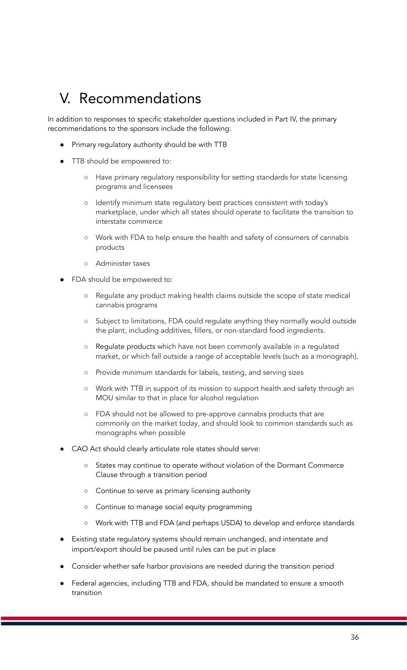## V. Recommendations

In addition to responses to specific stakeholder questions included in Part IV, the primary recommendations to the sponsors include the following:

- Primary regulatory authority should be with TTB
- TTB should be empowered to:
	- Have primary regulatory responsibility for setting standards for state licensing programs and licensees
	- Identify minimum state regulatory best practices consistent with today's marketplace, under which all states should operate to facilitate the transition to interstate commerce
	- Work with FDA to help ensure the health and safety of consumers of cannabis products
	- Administer taxes
- FDA should be empowered to:
	- Regulate any product making health claims outside the scope of state medical cannabis programs
	- Subject to limitations, FDA could regulate anything they normally would outside the plant, including additives, fillers, or non-standard food ingredients.
	- Regulate products which have not been commonly available in a regulated market, or which fall outside a range of acceptable levels (such as a monograph).
	- Provide minimum standards for labels, testing, and serving sizes
	- Work with TTB in support of its mission to support health and safety through an MOU similar to that in place for alcohol regulation
	- FDA should not be allowed to pre-approve cannabis products that are commonly on the market today, and should look to common standards such as monographs when possible
- CAO Act should clearly articulate role states should serve:
	- States may continue to operate without violation of the Dormant Commerce Clause through a transition period
	- Continue to serve as primary licensing authority
	- Continue to manage social equity programming
	- Work with TTB and FDA (and perhaps USDA) to develop and enforce standards
- Existing state regulatory systems should remain unchanged, and interstate and import/export should be paused until rules can be put in place
- Consider whether safe harbor provisions are needed during the transition period
- Federal agencies, including TTB and FDA, should be mandated to ensure a smooth transition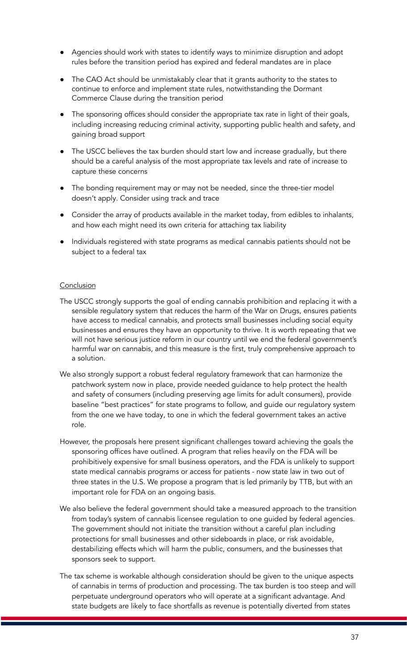- Agencies should work with states to identify ways to minimize disruption and adopt rules before the transition period has expired and federal mandates are in place
- The CAO Act should be unmistakably clear that it grants authority to the states to continue to enforce and implement state rules, notwithstanding the Dormant Commerce Clause during the transition period
- The sponsoring offices should consider the appropriate tax rate in light of their goals, including increasing reducing criminal activity, supporting public health and safety, and gaining broad support
- The USCC believes the tax burden should start low and increase gradually, but there should be a careful analysis of the most appropriate tax levels and rate of increase to capture these concerns
- The bonding requirement may or may not be needed, since the three-tier model doesn't apply. Consider using track and trace
- Consider the array of products available in the market today, from edibles to inhalants, and how each might need its own criteria for attaching tax liability
- Individuals registered with state programs as medical cannabis patients should not be subject to a federal tax

### **Conclusion**

- The USCC strongly supports the goal of ending cannabis prohibition and replacing it with a sensible regulatory system that reduces the harm of the War on Drugs, ensures patients have access to medical cannabis, and protects small businesses including social equity businesses and ensures they have an opportunity to thrive. It is worth repeating that we will not have serious justice reform in our country until we end the federal government's harmful war on cannabis, and this measure is the first, truly comprehensive approach to a solution.
- We also strongly support a robust federal regulatory framework that can harmonize the patchwork system now in place, provide needed guidance to help protect the health and safety of consumers (including preserving age limits for adult consumers), provide baseline "best practices" for state programs to follow, and guide our regulatory system from the one we have today, to one in which the federal government takes an active role.
- However, the proposals here present significant challenges toward achieving the goals the sponsoring offices have outlined. A program that relies heavily on the FDA will be prohibitively expensive for small business operators, and the FDA is unlikely to support state medical cannabis programs or access for patients - now state law in two out of three states in the U.S. We propose a program that is led primarily by TTB, but with an important role for FDA on an ongoing basis.
- We also believe the federal government should take a measured approach to the transition from today's system of cannabis licensee regulation to one guided by federal agencies. The government should not initiate the transition without a careful plan including protections for small businesses and other sideboards in place, or risk avoidable, destabilizing effects which will harm the public, consumers, and the businesses that sponsors seek to support.
- The tax scheme is workable although consideration should be given to the unique aspects of cannabis in terms of production and processing. The tax burden is too steep and will perpetuate underground operators who will operate at a significant advantage. And state budgets are likely to face shortfalls as revenue is potentially diverted from states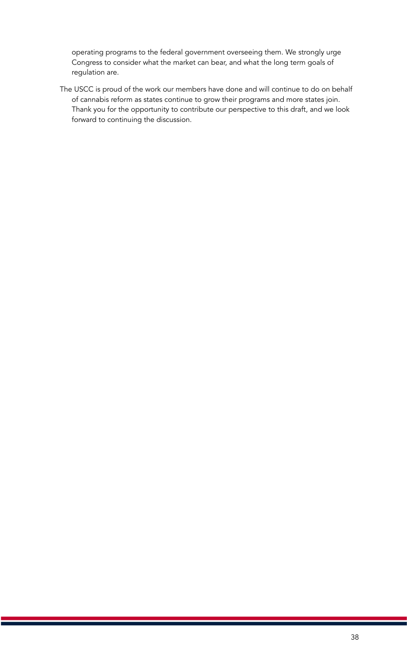operating programs to the federal government overseeing them. We strongly urge Congress to consider what the market can bear, and what the long term goals of regulation are.

The USCC is proud of the work our members have done and will continue to do on behalf of cannabis reform as states continue to grow their programs and more states join. Thank you for the opportunity to contribute our perspective to this draft, and we look forward to continuing the discussion.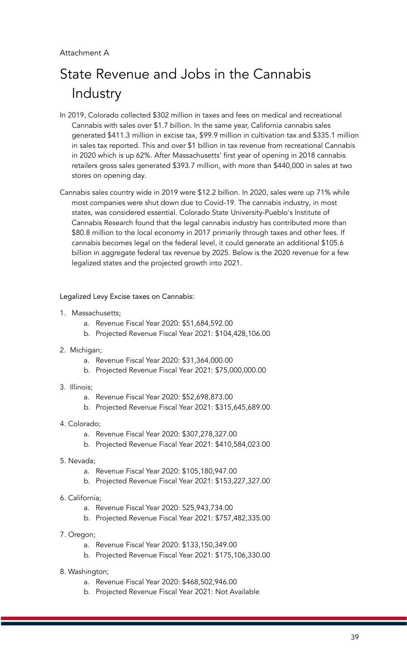# State Revenue and Jobs in the Cannabis Industry

- In 2019, Colorado collected \$302 million in taxes and fees on medical and recreational Cannabis with sales over \$1.7 billion. In the same year, California cannabis sales generated \$411.3 million in excise tax, \$99.9 million in cultivation tax and \$335.1 million in sales tax reported. This and over \$1 billion in tax revenue from recreational Cannabis in 2020 which is up 62%. After Massachusetts' first year of opening in 2018 cannabis retailers gross sales generated \$393.7 million, with more than \$440,000 in sales at two stores on opening day.
- Cannabis sales country wide in 2019 were \$12.2 billion. In 2020, sales were up 71% while most companies were shut down due to Covid-19. The cannabis industry, in most states, was considered essential. Colorado State University-Pueblo's Institute of Cannabis Research found that the legal cannabis industry has contributed more than \$80.8 million to the local economy in 2017 primarily through taxes and other fees. If cannabis becomes legal on the federal level, it could generate an additional \$105.6 billion in aggregate federal tax revenue by 2025. Below is the 2020 revenue for a few legalized states and the projected growth into 2021.

Legalized Levy Excise taxes on Cannabis:

- 1. Massachusetts;
	- a. Revenue Fiscal Year 2020: \$51,684,592.00
	- b. Projected Revenue Fiscal Year 2021: \$104,428,106.00
- 2. Michigan;
	- a. Revenue Fiscal Year 2020: \$31,364,000.00
	- b. Projected Revenue Fiscal Year 2021: \$75,000,000.00
- 3. Illinois;
	- a. Revenue Fiscal Year 2020: \$52,698,873.00
	- b. Projected Revenue Fiscal Year 2021: \$315,645,689.00
- 4. Colorado;
	- a. Revenue Fiscal Year 2020: \$307,278,327.00
	- b. Projected Revenue Fiscal Year 2021: \$410,584,023.00
- 5. Nevada;
	- a. Revenue Fiscal Year 2020: \$105,180,947.00
	- b. Projected Revenue Fiscal Year 2021: \$153,227,327.00
- 6. California;
	- a. Revenue Fiscal Year 2020: 525,943,734.00
	- b. Projected Revenue Fiscal Year 2021: \$757,482,335.00
- 7. Oregon;
	- a. Revenue Fiscal Year 2020: \$133,150,349.00
	- b. Projected Revenue Fiscal Year 2021: \$175,106,330.00
- 8. Washington;
	- a. Revenue Fiscal Year 2020: \$468,502,946.00
	- b. Projected Revenue Fiscal Year 2021: Not Available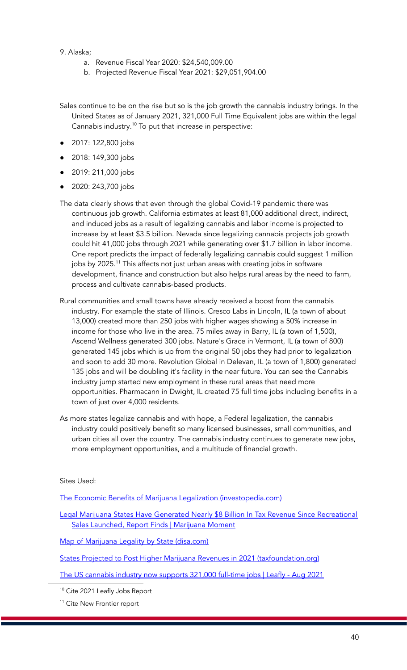### 9. Alaska;

- a. Revenue Fiscal Year 2020: \$24,540,009.00
- b. Projected Revenue Fiscal Year 2021: \$29,051,904.00

Sales continue to be on the rise but so is the job growth the cannabis industry brings. In the United States as of January 2021, 321,000 Full Time Equivalent jobs are within the legal Cannabis industry.<sup>10</sup> To put that increase in perspective:

- 2017: 122,800 jobs
- 2018: 149,300 jobs
- 2019: 211,000 jobs
- 2020: 243,700 jobs
- The data clearly shows that even through the global Covid-19 pandemic there was continuous job growth. California estimates at least 81,000 additional direct, indirect, and induced jobs as a result of legalizing cannabis and labor income is projected to increase by at least \$3.5 billion. Nevada since legalizing cannabis projects job growth could hit 41,000 jobs through 2021 while generating over \$1.7 billion in labor income. One report predicts the impact of federally legalizing cannabis could suggest 1 million jobs by 2025. <sup>11</sup> This affects not just urban areas with creating jobs in software development, finance and construction but also helps rural areas by the need to farm, process and cultivate cannabis-based products.
- Rural communities and small towns have already received a boost from the cannabis industry. For example the state of Illinois. Cresco Labs in Lincoln, IL (a town of about 13,000) created more than 250 jobs with higher wages showing a 50% increase in income for those who live in the area. 75 miles away in Barry, IL (a town of 1,500), Ascend Wellness generated 300 jobs. Nature's Grace in Vermont, IL (a town of 800) generated 145 jobs which is up from the original 50 jobs they had prior to legalization and soon to add 30 more. Revolution Global in Delevan, IL (a town of 1,800) generated 135 jobs and will be doubling it's facility in the near future. You can see the Cannabis industry jump started new employment in these rural areas that need more opportunities. Pharmacann in Dwight, IL created 75 full time jobs including benefits in a town of just over 4,000 residents.
- As more states legalize cannabis and with hope, a Federal legalization, the cannabis industry could positively benefit so many licensed businesses, small communities, and urban cities all over the country. The cannabis industry continues to generate new jobs, more employment opportunities, and a multitude of financial growth.

#### Sites Used:

The Economic Benefits of Marijuana Legalization [\(investopedia.com\)](https://www.investopedia.com/articles/insights/110916/economic-benefits-legalizing-weed.asp)

Legal Marijuana States Have Generated Nearly \$8 Billion In Tax Revenue Since [Recreational](https://www.marijuanamoment.net/legal-marijuana-states-have-generated-nearly-8-billion-in-tax-revenue-since-recreational-sales-launched-report-finds/) Sales [Launched,](https://www.marijuanamoment.net/legal-marijuana-states-have-generated-nearly-8-billion-in-tax-revenue-since-recreational-sales-launched-report-finds/) Report Finds | Marijuana Moment

Map of Marijuana Legality by State [\(disa.com\)](https://disa.com/map-of-marijuana-legality-by-state)

States Projected to Post Higher Marijuana Revenues in 2021 [\(taxfoundation.org\)](https://taxfoundation.org/states-projected-post-higher-marijuana-revenues-2021/)

The US [cannabis](https://www.leafly.com/news/industry/cannabis-jobs-report) industry now supports 321,000 full-time jobs | Leafly - Aug 2021

<sup>10</sup> Cite 2021 Leafly Jobs Report

<sup>11</sup> Cite New Frontier report